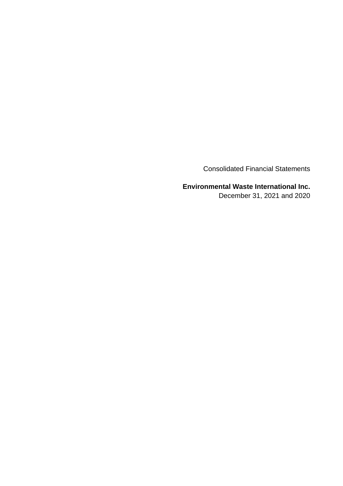Consolidated Financial Statements

**Environmental Waste International Inc.** December 31, 2021 and 2020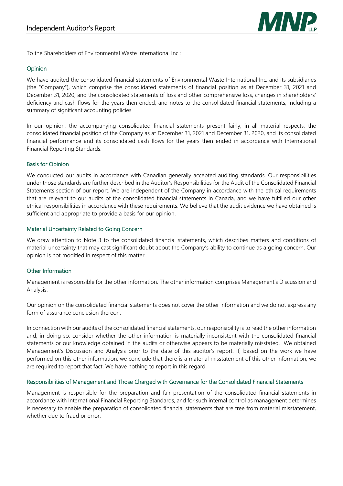

To the Shareholders of Environmental Waste International Inc.:

### Opinion

We have audited the consolidated financial statements of Environmental Waste International Inc. and its subsidiaries (the "Company"), which comprise the consolidated statements of financial position as at December 31, 2021 and December 31, 2020, and the consolidated statements of loss and other comprehensive loss, changes in shareholders' deficiency and cash flows for the years then ended, and notes to the consolidated financial statements, including a summary of significant accounting policies.

In our opinion, the accompanying consolidated financial statements present fairly, in all material respects, the consolidated financial position of the Company as at December 31, 2021 and December 31, 2020, and its consolidated financial performance and its consolidated cash flows for the years then ended in accordance with International Financial Reporting Standards.

### Basis for Opinion

We conducted our audits in accordance with Canadian generally accepted auditing standards. Our responsibilities under those standards are further described in the Auditor's Responsibilities for the Audit of the Consolidated Financial Statements section of our report. We are independent of the Company in accordance with the ethical requirements that are relevant to our audits of the consolidated financial statements in Canada, and we have fulfilled our other ethical responsibilities in accordance with these requirements. We believe that the audit evidence we have obtained is sufficient and appropriate to provide a basis for our opinion.

### Material Uncertainty Related to Going Concern

We draw attention to Note 3 to the consolidated financial statements, which describes matters and conditions of material uncertainty that may cast significant doubt about the Company's ability to continue as a going concern. Our opinion is not modified in respect of this matter.

### Other Information

Management is responsible for the other information. The other information comprises Management's Discussion and Analysis.

Our opinion on the consolidated financial statements does not cover the other information and we do not express any form of assurance conclusion thereon.

In connection with our audits of the consolidated financial statements, our responsibility is to read the other information and, in doing so, consider whether the other information is materially inconsistent with the consolidated financial statements or our knowledge obtained in the audits or otherwise appears to be materially misstated. We obtained Management's Discussion and Analysis prior to the date of this auditor's report. If, based on the work we have performed on this other information, we conclude that there is a material misstatement of this other information, we are required to report that fact. We have nothing to report in this regard.

### Responsibilities of Management and Those Charged with Governance for the Consolidated Financial Statements

Management is responsible for the preparation and fair presentation of the consolidated financial statements in accordance with International Financial Reporting Standards, and for such internal control as management determines is necessary to enable the preparation of consolidated financial statements that are free from material misstatement, whether due to fraud or error.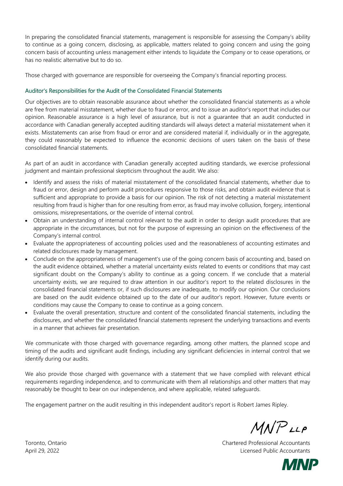In preparing the consolidated financial statements, management is responsible for assessing the Company's ability to continue as a going concern, disclosing, as applicable, matters related to going concern and using the going concern basis of accounting unless management either intends to liquidate the Company or to cease operations, or has no realistic alternative but to do so.

Those charged with governance are responsible for overseeing the Company's financial reporting process.

### Auditor's Responsibilities for the Audit of the Consolidated Financial Statements

Our objectives are to obtain reasonable assurance about whether the consolidated financial statements as a whole are free from material misstatement, whether due to fraud or error, and to issue an auditor's report that includes our opinion. Reasonable assurance is a high level of assurance, but is not a guarantee that an audit conducted in accordance with Canadian generally accepted auditing standards will always detect a material misstatement when it exists. Misstatements can arise from fraud or error and are considered material if, individually or in the aggregate, they could reasonably be expected to influence the economic decisions of users taken on the basis of these consolidated financial statements.

As part of an audit in accordance with Canadian generally accepted auditing standards, we exercise professional judgment and maintain professional skepticism throughout the audit. We also:

- Identify and assess the risks of material misstatement of the consolidated financial statements, whether due to fraud or error, design and perform audit procedures responsive to those risks, and obtain audit evidence that is sufficient and appropriate to provide a basis for our opinion. The risk of not detecting a material misstatement resulting from fraud is higher than for one resulting from error, as fraud may involve collusion, forgery, intentional omissions, misrepresentations, or the override of internal control.
- Obtain an understanding of internal control relevant to the audit in order to design audit procedures that are appropriate in the circumstances, but not for the purpose of expressing an opinion on the effectiveness of the Company's internal control.
- Evaluate the appropriateness of accounting policies used and the reasonableness of accounting estimates and related disclosures made by management.
- Conclude on the appropriateness of management's use of the going concern basis of accounting and, based on the audit evidence obtained, whether a material uncertainty exists related to events or conditions that may cast significant doubt on the Company's ability to continue as a going concern. If we conclude that a material uncertainty exists, we are required to draw attention in our auditor's report to the related disclosures in the consolidated financial statements or, if such disclosures are inadequate, to modify our opinion. Our conclusions are based on the audit evidence obtained up to the date of our auditor's report. However, future events or conditions may cause the Company to cease to continue as a going concern.
- Evaluate the overall presentation, structure and content of the consolidated financial statements, including the disclosures, and whether the consolidated financial statements represent the underlying transactions and events in a manner that achieves fair presentation.

We communicate with those charged with governance regarding, among other matters, the planned scope and timing of the audits and significant audit findings, including any significant deficiencies in internal control that we identify during our audits.

We also provide those charged with governance with a statement that we have complied with relevant ethical requirements regarding independence, and to communicate with them all relationships and other matters that may reasonably be thought to bear on our independence, and where applicable, related safeguards.

The engagement partner on the audit resulting in this independent auditor's report is Robert James Ripley.

MNPLLP

Toronto, Ontario Chartered Professional Accountants April 29, 2022 Licensed Public Accountants

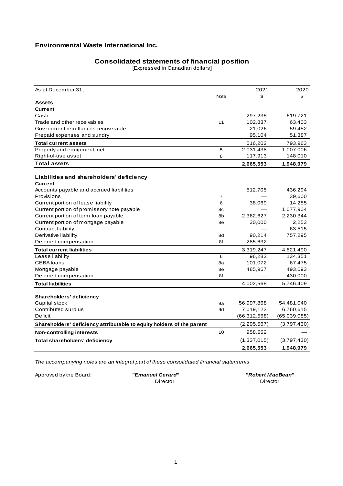### **Consolidated statements of financial position**

[Expressed in Canadian dollars]

| As at December 31,                                                    |                | 2021           | 2020         |
|-----------------------------------------------------------------------|----------------|----------------|--------------|
|                                                                       | Note           | \$             | \$           |
| <b>Assets</b>                                                         |                |                |              |
| <b>Current</b>                                                        |                |                |              |
| Cash                                                                  |                | 297,235        | 619,721      |
| Trade and other receivables                                           | 11             | 102,837        | 63,403       |
| Government remittances recoverable                                    |                | 21,026         | 59,452       |
| Prepaid expenses and sundry                                           |                | 95,104         | 51,387       |
| <b>Total current assets</b>                                           |                | 516,202        | 793,963      |
| Property and equipment, net                                           | 5              | 2,031,438      | 1,007,006    |
| Right-of-use asset                                                    | 6              | 117,913        | 148,010      |
| <b>Total assets</b>                                                   |                | 2,665,553      | 1,948,979    |
| Liabilities and shareholders' deficiency                              |                |                |              |
| <b>Current</b>                                                        |                |                |              |
| Accounts payable and accrued liabilities                              |                | 512,705        | 436,294      |
| Provisions                                                            | $\overline{7}$ |                | 39,600       |
| Current portion of lease liability                                    | 6              | 38,069         | 14,285       |
| Current portion of promissory note payable                            | 8с             |                | 1,077,904    |
| Current portion of term loan payable                                  | 8b             | 2,362,627      | 2,230,344    |
| Current portion of mortgage payable                                   | 8e             | 30,000         | 2,253        |
| Contract liability                                                    |                |                | 63,515       |
| Derivative liability                                                  | 8d             | 90,214         | 757,295      |
| Deferred compensation                                                 | 8f             | 285,632        |              |
| <b>Total current liabilities</b>                                      |                | 3,319,247      | 4,621,490    |
| Lease liability                                                       | $\,6$          | 96,282         | 134,351      |
| <b>CEBA</b> loans                                                     | 8a             | 101,072        | 67,475       |
| Mortgage payable                                                      | 8e             | 485,967        | 493,093      |
| Deferred compensation                                                 | 8f             |                | 430,000      |
| <b>Total liabilities</b>                                              |                | 4,002,568      | 5,746,409    |
|                                                                       |                |                |              |
| Shareholders' deficiency                                              |                |                |              |
| Capital stock                                                         | 9a             | 56,997,868     | 54,481,040   |
| Contributed surplus                                                   | 9d             | 7,019,123      | 6,760,615    |
| Deficit                                                               |                | (66, 312, 558) | (65,039,085) |
| Shareholders' deficiency attributable to equity holders of the parent |                | (2,295,567)    | (3,797,430)  |
| <b>Non-controlling interests</b>                                      | 10             | 958,552        |              |
| Total shareholders' deficiency                                        |                | (1,337,015)    | (3,797,430)  |
|                                                                       |                | 2,665,553      | 1,948,979    |

*The accompanying notes are an integral part of these consolidated financial statements*

Approved by the Board: *"Emanuel Gerard"*  Director

 *"Robert MacBean"* Director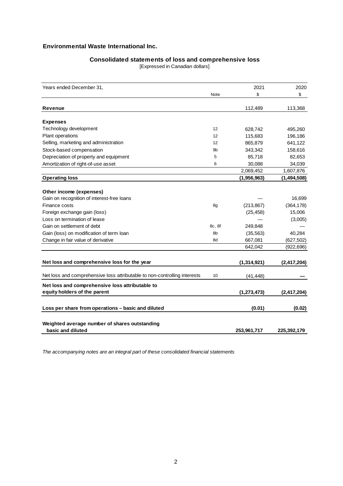#### **Consolidated statements of loss and comprehensive loss**

[Expressed in Canadian dollars]

| Years ended December 31,                                                  |                | 2021          | 2020          |
|---------------------------------------------------------------------------|----------------|---------------|---------------|
|                                                                           | Note           | \$            | \$            |
| Revenue                                                                   |                | 112,489       | 113,368       |
|                                                                           |                |               |               |
| <b>Expenses</b>                                                           |                |               |               |
| Technology development                                                    | 12             | 628,742       | 495,260       |
| Plant operations                                                          | 12             | 115,683       | 196,186       |
| Selling, marketing and administration                                     | 12             | 865,879       | 641,122       |
| Stock-based compensation                                                  | 9 <sub>b</sub> | 343,342       | 158,616       |
| Depreciation of property and equipment                                    | 5              | 85,718        | 82,653        |
| Amortization of right-of-use asset                                        | 6              | 30,088        | 34,039        |
|                                                                           |                | 2,069,452     | 1,607,876     |
| <b>Operating loss</b>                                                     |                | (1,956,963)   | (1,494,508)   |
|                                                                           |                |               |               |
| Other income (expenses)                                                   |                |               |               |
| Gain on recognition of interest-free loans                                |                |               | 16,699        |
| Finance costs                                                             | 8g             | (213, 867)    | (364, 178)    |
| Foreign exchange gain (loss)                                              |                | (25, 458)     | 15,006        |
| Loss on termination of lease                                              |                |               | (3,005)       |
| Gain on settlement of debt                                                | 8c, 8f         | 249,848       |               |
| Gain (loss) on modification of term loan                                  | 8b             | (35, 563)     | 40,284        |
| Change in fair value of derivative                                        | 8d             | 667,081       | (627, 502)    |
|                                                                           |                | 642,042       | (922, 696)    |
| Net loss and comprehensive loss for the year                              |                | (1,314,921)   | (2, 417, 204) |
| Net loss and comprehensive loss attributable to non-controlling interests | 10             | (41, 448)     |               |
| Net loss and comprehensive loss attributable to                           |                |               |               |
| equity holders of the parent                                              |                | (1, 273, 473) | (2, 417, 204) |
|                                                                           |                |               |               |
| Loss per share from operations - basic and diluted                        |                | (0.01)        | (0.02)        |
| Weighted average number of shares outstanding                             |                |               |               |
| basic and diluted                                                         |                | 253,961,717   | 225,392,179   |
|                                                                           |                |               |               |

*The accompanying notes are an integral part of these consolidated financial statements*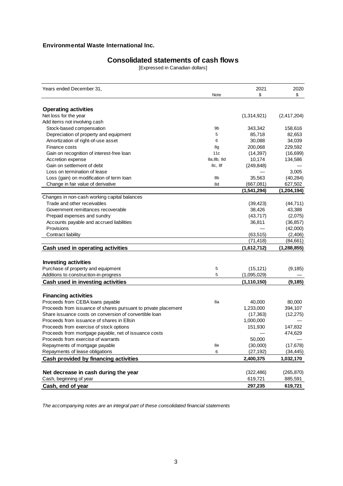# **Consolidated statements of cash flows**

[Expressed in Canadian dollars]

| Years ended December 31,                                       |            | 2021          | 2020          |
|----------------------------------------------------------------|------------|---------------|---------------|
|                                                                | Note       | \$            | \$            |
|                                                                |            |               |               |
| <b>Operating activities</b>                                    |            |               |               |
| Net loss for the year                                          |            | (1,314,921)   | (2,417,204)   |
| Add items not involving cash                                   |            |               |               |
| Stock-based compensation                                       | 9b         | 343,342       | 158,616       |
| Depreciation of property and equipment                         | 5          | 85,718        | 82,653        |
| Amortization of right-of-use asset                             | 6          | 30,088        | 34,039        |
| Finance costs                                                  | 8g         | 200,068       | 229,592       |
| Gain on recognition of interest-free loan                      | 11c        | (14, 397)     | (16, 699)     |
| Accretion expense                                              | 8a, 8b, 8d | 10,174        | 134,586       |
| Gain on settlement of debt                                     | 8c, 8f     | (249, 848)    |               |
| Loss on termination of lease                                   |            |               | 3,005         |
| Loss (gain) on modification of term loan                       | 8b         | 35,563        | (40, 284)     |
| Change in fair value of derivative                             | 8d         | (667,081)     | 627,502       |
|                                                                |            | (1, 541, 294) | (1, 204, 194) |
| Changes in non-cash working capital balances                   |            |               |               |
| Trade and other receivables                                    |            | (39, 423)     | (44, 711)     |
| Government remittances recoverable                             |            | 38,426        | 43,388        |
| Prepaid expenses and sundry                                    |            | (43, 717)     | (2,075)       |
| Accounts payable and accrued liabilities                       |            | 36,811        | (36, 857)     |
| Provisions                                                     |            |               | (42,000)      |
| Contract liability                                             |            | (63, 515)     | (2,406)       |
|                                                                |            | (71, 418)     | (84, 661)     |
| Cash used in operating activities                              |            | (1,612,712)   | (1, 288, 855) |
|                                                                |            |               |               |
| <b>Investing activities</b>                                    |            |               |               |
| Purchase of property and equipment                             | 5          | (15, 121)     | (9, 185)      |
| Additions to construction-in-progress                          | 5          | (1,095,029)   |               |
| Cash used in investing activities                              |            | (1, 110, 150) | (9, 185)      |
|                                                                |            |               |               |
| <b>Financing activities</b>                                    |            |               |               |
| Proceeds from CEBA loans payable                               | 8a         | 40,000        | 80,000        |
| Proceeds from issuance of shares pursuant to private placement |            | 1,233,000     | 394,107       |
| Share issuance costs on conversion of convertible loan         |            | (17, 363)     | (12, 275)     |
| Proceeds from issuance of shares in Ellsin                     |            | 1,000,000     |               |
| Proceeds from exercise of stock options                        |            | 151,930       | 147,832       |
| Proceeds from mortgage payable, net of issuance costs          |            |               | 474,629       |
| Proceeds from exercise of warrants                             |            | 50,000        |               |
| Repayments of mortgage payable                                 | 8e         | (30,000)      | (17, 678)     |
| Repayments of lease obligations                                | 6          | (27, 192)     | (34, 445)     |
| Cash provided by financing activities                          |            | 2,400,375     | 1,032,170     |
|                                                                |            |               |               |
| Net decrease in cash during the year                           |            | (322, 486)    | (265, 870)    |
| Cash, beginning of year                                        |            | 619,721       | 885,591       |
| Cash, end of year                                              |            | 297,235       | 619,721       |

*The accompanying notes are an integral part of these consolidated financial statements*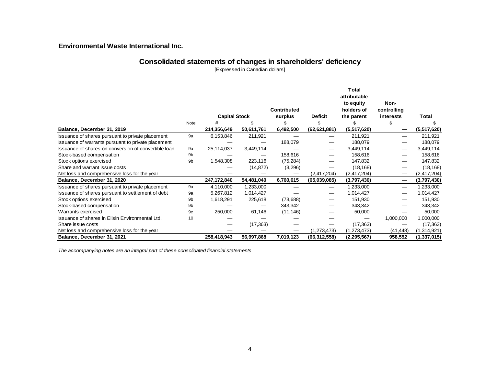# **Consolidated statements of changes in shareholders' deficiency**

[Expressed in Canadian dollars]

|                                                      |                |                      |            |                    |                | Total<br>attributable<br>to equity | Non-        |               |
|------------------------------------------------------|----------------|----------------------|------------|--------------------|----------------|------------------------------------|-------------|---------------|
|                                                      |                |                      |            | <b>Contributed</b> |                | holders of                         | controlling |               |
|                                                      |                | <b>Capital Stock</b> |            | surplus            | <b>Deficit</b> | the parent                         | interests   | Total         |
|                                                      | Note           |                      |            |                    |                |                                    |             |               |
| Balance, December 31, 2019                           |                | 214,356,649          | 50,611,761 | 6,492,500          | (62, 621, 881) | (5,517,620)                        | —           | (5,517,620)   |
| Issuance of shares pursuant to private placement     | 9a             | 6,153,846            | 211,921    |                    |                | 211,921                            |             | 211,921       |
| Issuance of warrants pursuant to private placement   |                |                      |            | 188,079            |                | 188,079                            |             | 188,079       |
| Issuance of shares on conversion of convertible loan | 9a             | 25,114,037           | 3,449,114  |                    |                | 3,449,114                          |             | 3,449,114     |
| Stock-based compensation                             | 9 <sub>b</sub> |                      |            | 158,616            |                | 158,616                            |             | 158,616       |
| Stock options exercised                              | 9 <sub>b</sub> | 1,548,308            | 223,116    | (75, 284)          |                | 147,832                            |             | 147,832       |
| Share and warrant issue costs                        |                |                      | (14, 872)  | (3,296)            |                | (18, 168)                          |             | (18, 168)     |
| Net loss and comprehensive loss for the year         |                |                      |            |                    | (2,417,204)    | (2,417,204)                        | —           | (2,417,204)   |
| Balance, December 31, 2020                           |                | 247,172,840          | 54,481,040 | 6,760,615          | (65,039,085)   | (3,797,430)                        |             | (3,797,430)   |
| Issuance of shares pursuant to private placement     | 9a             | 4,110,000            | 1,233,000  |                    | —              | 1,233,000                          | —           | 1,233,000     |
| Issuance of shares pursuant to settlement of debt    | 9a             | 5,267,812            | 1,014,427  |                    | —              | 1,014,427                          | —           | 1,014,427     |
| Stock options exercised                              | 9b             | 1,618,291            | 225,618    | (73, 688)          |                | 151,930                            |             | 151,930       |
| Stock-based compensation                             | 9b             |                      |            | 343,342            |                | 343,342                            |             | 343,342       |
| Warrants exercised                                   | 9с             | 250,000              | 61,146     | (11, 146)          |                | 50,000                             |             | 50,000        |
| Issuance of shares in Ellsin Environmental Ltd.      | 10             |                      |            |                    |                |                                    | 1,000,000   | 1,000,000     |
| Share issue costs                                    |                |                      | (17, 363)  |                    |                | (17, 363)                          |             | (17, 363)     |
| Net loss and comprehensive loss for the year         |                |                      |            |                    | (1, 273, 473)  | (1,273,473)                        | (41, 448)   | (1,314,921)   |
| Balance, December 31, 2021                           |                | 258,418,943          | 56,997,868 | 7,019,123          | (66, 312, 558) | (2, 295, 567)                      | 958,552     | (1, 337, 015) |

*The accompanying notes are an integral part of these consolidated financial statements*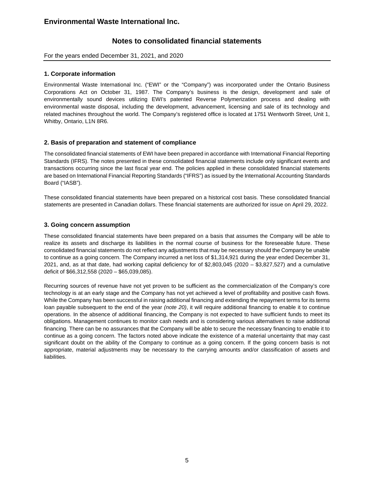# **Notes to consolidated financial statements**

For the years ended December 31, 2021, and 2020

### **1. Corporate information**

Environmental Waste International Inc. ("EWI" or the "Company") was incorporated under the Ontario Business Corporations Act on October 31, 1987. The Company's business is the design, development and sale of environmentally sound devices utilizing EWI's patented Reverse Polymerization process and dealing with environmental waste disposal, including the development, advancement, licensing and sale of its technology and related machines throughout the world. The Company's registered office is located at 1751 Wentworth Street, Unit 1, Whitby, Ontario, L1N 8R6.

### **2. Basis of preparation and statement of compliance**

The consolidated financial statements of EWI have been prepared in accordance with International Financial Reporting Standards (IFRS). The notes presented in these consolidated financial statements include only significant events and transactions occurring since the last fiscal year end. The policies applied in these consolidated financial statements are based on International Financial Reporting Standards ("IFRS") as issued by the International Accounting Standards Board ("IASB").

These consolidated financial statements have been prepared on a historical cost basis. These consolidated financial statements are presented in Canadian dollars. These financial statements are authorized for issue on April 29, 2022.

### **3. Going concern assumption**

These consolidated financial statements have been prepared on a basis that assumes the Company will be able to realize its assets and discharge its liabilities in the normal course of business for the foreseeable future. These consolidated financial statements do not reflect any adjustments that may be necessary should the Company be unable to continue as a going concern. The Company incurred a net loss of \$1,314,921 during the year ended December 31, 2021, and, as at that date, had working capital deficiency for of \$2,803,045 (2020 – \$3,827,527) and a cumulative deficit of \$66,312,558 (2020 – \$65,039,085).

Recurring sources of revenue have not yet proven to be sufficient as the commercialization of the Company's core technology is at an early stage and the Company has not yet achieved a level of profitability and positive cash flows. While the Company has been successful in raising additional financing and extending the repayment terms for its terms loan payable subsequent to the end of the year *(note 20)*, it will require additional financing to enable it to continue operations. In the absence of additional financing, the Company is not expected to have sufficient funds to meet its obligations. Management continues to monitor cash needs and is considering various alternatives to raise additional financing*.* There can be no assurances that the Company will be able to secure the necessary financing to enable it to continue as a going concern. The factors noted above indicate the existence of a material uncertainty that may cast significant doubt on the ability of the Company to continue as a going concern. If the going concern basis is not appropriate, material adjustments may be necessary to the carrying amounts and/or classification of assets and liabilities.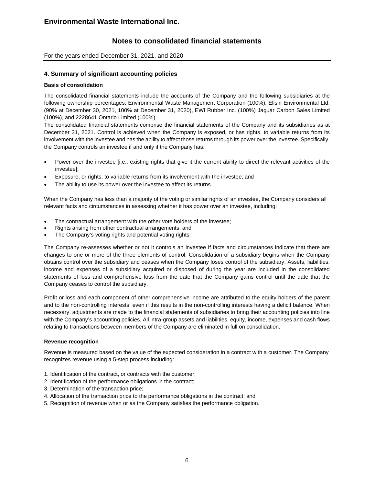# **Notes to consolidated financial statements**

### For the years ended December 31, 2021, and 2020

### **4. Summary of significant accounting policies**

#### **Basis of consolidation**

The consolidated financial statements include the accounts of the Company and the following subsidiaries at the following ownership percentages: Environmental Waste Management Corporation (100%), Ellsin Environmental Ltd. (90% at December 30, 2021, 100% at December 31, 2020), EWI Rubber Inc. (100%) Jaguar Carbon Sales Limited (100%), and 2228641 Ontario Limited (100%).

The consolidated financial statements comprise the financial statements of the Company and its subsidiaries as at December 31, 2021. Control is achieved when the Company is exposed, or has rights, to variable returns from its involvement with the investee and has the ability to affect those returns through its power over the investee. Specifically, the Company controls an investee if and only if the Company has:

- Power over the investee [i.e., existing rights that give it the current ability to direct the relevant activities of the investee];
- Exposure, or rights, to variable returns from its involvement with the investee; and
- The ability to use its power over the investee to affect its returns.

When the Company has less than a majority of the voting or similar rights of an investee, the Company considers all relevant facts and circumstances in assessing whether it has power over an investee, including:

- The contractual arrangement with the other vote holders of the investee;
- Rights arising from other contractual arrangements; and
- The Company's voting rights and potential voting rights.

The Company re-assesses whether or not it controls an investee if facts and circumstances indicate that there are changes to one or more of the three elements of control. Consolidation of a subsidiary begins when the Company obtains control over the subsidiary and ceases when the Company loses control of the subsidiary. Assets, liabilities, income and expenses of a subsidiary acquired or disposed of during the year are included in the consolidated statements of loss and comprehensive loss from the date that the Company gains control until the date that the Company ceases to control the subsidiary.

Profit or loss and each component of other comprehensive income are attributed to the equity holders of the parent and to the non-controlling interests, even if this results in the non-controlling interests having a deficit balance. When necessary, adjustments are made to the financial statements of subsidiaries to bring their accounting policies into line with the Company's accounting policies. All intra-group assets and liabilities, equity, income, expenses and cash flows relating to transactions between members of the Company are eliminated in full on consolidation.

#### **Revenue recognition**

Revenue is measured based on the value of the expected consideration in a contract with a customer. The Company recognizes revenue using a 5-step process including:

- 1. Identification of the contract, or contracts with the customer;
- 2. Identification of the performance obligations in the contract;
- 3. Determination of the transaction price;
- 4. Allocation of the transaction price to the performance obligations in the contract; and
- 5. Recognition of revenue when or as the Company satisfies the performance obligation.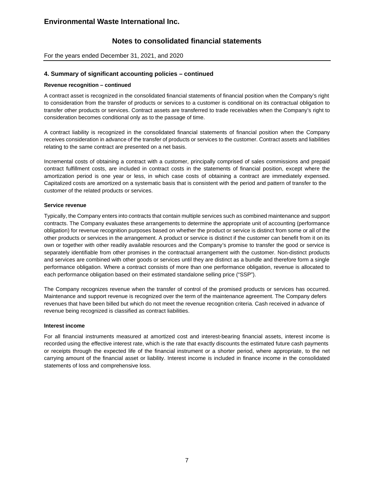## **Notes to consolidated financial statements**

### For the years ended December 31, 2021, and 2020

### **4. Summary of significant accounting policies – continued**

#### **Revenue recognition – continued**

A contract asset is recognized in the consolidated financial statements of financial position when the Company's right to consideration from the transfer of products or services to a customer is conditional on its contractual obligation to transfer other products or services. Contract assets are transferred to trade receivables when the Company's right to consideration becomes conditional only as to the passage of time.

A contract liability is recognized in the consolidated financial statements of financial position when the Company receives consideration in advance of the transfer of products or services to the customer. Contract assets and liabilities relating to the same contract are presented on a net basis.

Incremental costs of obtaining a contract with a customer, principally comprised of sales commissions and prepaid contract fulfillment costs, are included in contract costs in the statements of financial position, except where the amortization period is one year or less, in which case costs of obtaining a contract are immediately expensed. Capitalized costs are amortized on a systematic basis that is consistent with the period and pattern of transfer to the customer of the related products or services.

#### **Service revenue**

Typically, the Company enters into contracts that contain multiple services such as combined maintenance and support contracts. The Company evaluates these arrangements to determine the appropriate unit of accounting (performance obligation) for revenue recognition purposes based on whether the product or service is distinct from some or all of the other products or services in the arrangement. A product or service is distinct if the customer can benefit from it on its own or together with other readily available resources and the Company's promise to transfer the good or service is separately identifiable from other promises in the contractual arrangement with the customer. Non-distinct products and services are combined with other goods or services until they are distinct as a bundle and therefore form a single performance obligation. Where a contract consists of more than one performance obligation, revenue is allocated to each performance obligation based on their estimated standalone selling price ("SSP").

The Company recognizes revenue when the transfer of control of the promised products or services has occurred. Maintenance and support revenue is recognized over the term of the maintenance agreement. The Company defers revenues that have been billed but which do not meet the revenue recognition criteria. Cash received in advance of revenue being recognized is classified as contract liabilities.

#### **Interest income**

For all financial instruments measured at amortized cost and interest-bearing financial assets, interest income is recorded using the effective interest rate, which is the rate that exactly discounts the estimated future cash payments or receipts through the expected life of the financial instrument or a shorter period, where appropriate, to the net carrying amount of the financial asset or liability. Interest income is included in finance income in the consolidated statements of loss and comprehensive loss.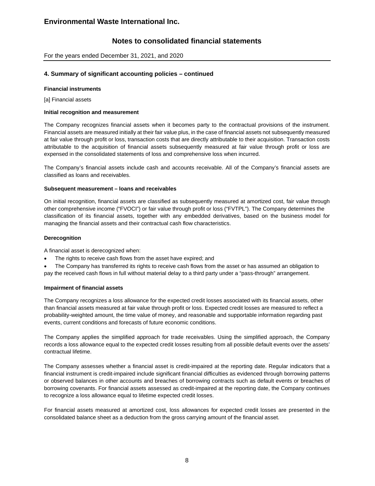## **Notes to consolidated financial statements**

### For the years ended December 31, 2021, and 2020

### **4. Summary of significant accounting policies – continued**

#### **Financial instruments**

[a] Financial assets

#### **Initial recognition and measurement**

The Company recognizes financial assets when it becomes party to the contractual provisions of the instrument. Financial assets are measured initially at their fair value plus, in the case of financial assets not subsequently measured at fair value through profit or loss, transaction costs that are directly attributable to their acquisition. Transaction costs attributable to the acquisition of financial assets subsequently measured at fair value through profit or loss are expensed in the consolidated statements of loss and comprehensive loss when incurred.

The Company's financial assets include cash and accounts receivable. All of the Company's financial assets are classified as loans and receivables.

#### **Subsequent measurement – loans and receivables**

On initial recognition, financial assets are classified as subsequently measured at amortized cost, fair value through other comprehensive income ("FVOCI") or fair value through profit or loss ("FVTPL"). The Company determines the classification of its financial assets, together with any embedded derivatives, based on the business model for managing the financial assets and their contractual cash flow characteristics.

#### **Derecognition**

A financial asset is derecognized when:

The rights to receive cash flows from the asset have expired; and

 The Company has transferred its rights to receive cash flows from the asset or has assumed an obligation to pay the received cash flows in full without material delay to a third party under a "pass-through" arrangement.

#### **Impairment of financial assets**

The Company recognizes a loss allowance for the expected credit losses associated with its financial assets, other than financial assets measured at fair value through profit or loss. Expected credit losses are measured to reflect a probability-weighted amount, the time value of money, and reasonable and supportable information regarding past events, current conditions and forecasts of future economic conditions.

The Company applies the simplified approach for trade receivables. Using the simplified approach, the Company records a loss allowance equal to the expected credit losses resulting from all possible default events over the assets' contractual lifetime.

The Company assesses whether a financial asset is credit-impaired at the reporting date. Regular indicators that a financial instrument is credit-impaired include significant financial difficulties as evidenced through borrowing patterns or observed balances in other accounts and breaches of borrowing contracts such as default events or breaches of borrowing covenants. For financial assets assessed as credit-impaired at the reporting date, the Company continues to recognize a loss allowance equal to lifetime expected credit losses.

For financial assets measured at amortized cost, loss allowances for expected credit losses are presented in the consolidated balance sheet as a deduction from the gross carrying amount of the financial asset.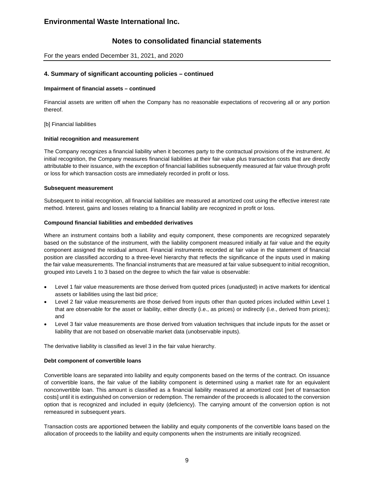## **Notes to consolidated financial statements**

### For the years ended December 31, 2021, and 2020

### **4. Summary of significant accounting policies – continued**

#### **Impairment of financial assets – continued**

Financial assets are written off when the Company has no reasonable expectations of recovering all or any portion thereof.

[b] Financial liabilities

#### **Initial recognition and measurement**

The Company recognizes a financial liability when it becomes party to the contractual provisions of the instrument. At initial recognition, the Company measures financial liabilities at their fair value plus transaction costs that are directly attributable to their issuance, with the exception of financial liabilities subsequently measured at fair value through profit or loss for which transaction costs are immediately recorded in profit or loss.

#### **Subsequent measurement**

Subsequent to initial recognition, all financial liabilities are measured at amortized cost using the effective interest rate method. Interest, gains and losses relating to a financial liability are recognized in profit or loss.

#### **Compound financial liabilities and embedded derivatives**

Where an instrument contains both a liability and equity component, these components are recognized separately based on the substance of the instrument, with the liability component measured initially at fair value and the equity component assigned the residual amount. Financial instruments recorded at fair value in the statement of financial position are classified according to a three-level hierarchy that reflects the significance of the inputs used in making the fair value measurements. The financial instruments that are measured at fair value subsequent to initial recognition, grouped into Levels 1 to 3 based on the degree to which the fair value is observable:

- Level 1 fair value measurements are those derived from quoted prices (unadjusted) in active markets for identical assets or liabilities using the last bid price;
- Level 2 fair value measurements are those derived from inputs other than quoted prices included within Level 1 that are observable for the asset or liability, either directly (i.e., as prices) or indirectly (i.e., derived from prices); and
- Level 3 fair value measurements are those derived from valuation techniques that include inputs for the asset or liability that are not based on observable market data (unobservable inputs).

The derivative liability is classified as level 3 in the fair value hierarchy.

#### **Debt component of convertible loans**

Convertible loans are separated into liability and equity components based on the terms of the contract. On issuance of convertible loans, the fair value of the liability component is determined using a market rate for an equivalent nonconvertible loan. This amount is classified as a financial liability measured at amortized cost [net of transaction costs] until it is extinguished on conversion or redemption. The remainder of the proceeds is allocated to the conversion option that is recognized and included in equity (deficiency). The carrying amount of the conversion option is not remeasured in subsequent years.

Transaction costs are apportioned between the liability and equity components of the convertible loans based on the allocation of proceeds to the liability and equity components when the instruments are initially recognized.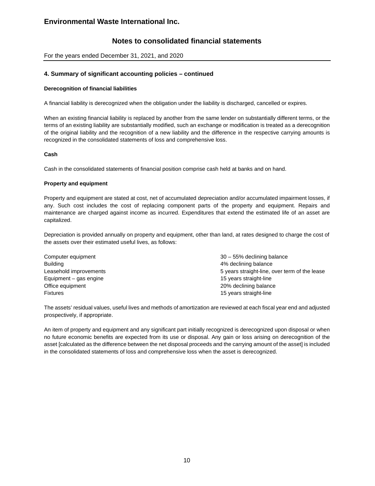# **Notes to consolidated financial statements**

For the years ended December 31, 2021, and 2020

### **4. Summary of significant accounting policies – continued**

#### **Derecognition of financial liabilities**

A financial liability is derecognized when the obligation under the liability is discharged, cancelled or expires.

When an existing financial liability is replaced by another from the same lender on substantially different terms, or the terms of an existing liability are substantially modified, such an exchange or modification is treated as a derecognition of the original liability and the recognition of a new liability and the difference in the respective carrying amounts is recognized in the consolidated statements of loss and comprehensive loss.

#### **Cash**

Cash in the consolidated statements of financial position comprise cash held at banks and on hand.

#### **Property and equipment**

Property and equipment are stated at cost, net of accumulated depreciation and/or accumulated impairment losses, if any. Such cost includes the cost of replacing component parts of the property and equipment. Repairs and maintenance are charged against income as incurred. Expenditures that extend the estimated life of an asset are capitalized.

Depreciation is provided annually on property and equipment, other than land, at rates designed to charge the cost of the assets over their estimated useful lives, as follows:

| Computer equipment     | 30 - 55% declining balance                    |
|------------------------|-----------------------------------------------|
| <b>Building</b>        | 4% declining balance                          |
| Leasehold improvements | 5 years straight-line, over term of the lease |
| Equipment - gas engine | 15 years straight-line                        |
| Office equipment       | 20% declining balance                         |
| <b>Fixtures</b>        | 15 years straight-line                        |

The assets' residual values, useful lives and methods of amortization are reviewed at each fiscal year end and adjusted prospectively, if appropriate.

An item of property and equipment and any significant part initially recognized is derecognized upon disposal or when no future economic benefits are expected from its use or disposal. Any gain or loss arising on derecognition of the asset [calculated as the difference between the net disposal proceeds and the carrying amount of the asset] is included in the consolidated statements of loss and comprehensive loss when the asset is derecognized.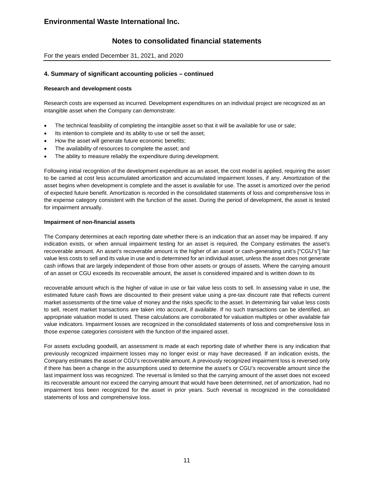# **Notes to consolidated financial statements**

### For the years ended December 31, 2021, and 2020

### **4. Summary of significant accounting policies – continued**

#### **Research and development costs**

Research costs are expensed as incurred. Development expenditures on an individual project are recognized as an intangible asset when the Company can demonstrate:

- The technical feasibility of completing the intangible asset so that it will be available for use or sale;
- Its intention to complete and its ability to use or sell the asset;
- How the asset will generate future economic benefits;
- The availability of resources to complete the asset; and
- The ability to measure reliably the expenditure during development.

Following initial recognition of the development expenditure as an asset, the cost model is applied, requiring the asset to be carried at cost less accumulated amortization and accumulated impairment losses, if any. Amortization of the asset begins when development is complete and the asset is available for use. The asset is amortized over the period of expected future benefit. Amortization is recorded in the consolidated statements of loss and comprehensive loss in the expense category consistent with the function of the asset. During the period of development, the asset is tested for impairment annually.

#### **Impairment of non-financial assets**

The Company determines at each reporting date whether there is an indication that an asset may be impaired. If any indication exists, or when annual impairment testing for an asset is required, the Company estimates the asset's recoverable amount. An asset's recoverable amount is the higher of an asset or cash-generating unit's ["CGU's"] fair value less costs to sell and its value in use and is determined for an individual asset, unless the asset does not generate cash inflows that are largely independent of those from other assets or groups of assets. Where the carrying amount of an asset or CGU exceeds its recoverable amount, the asset is considered impaired and is written down to its

recoverable amount which is the higher of value in use or fair value less costs to sell. In assessing value in use, the estimated future cash flows are discounted to their present value using a pre-tax discount rate that reflects current market assessments of the time value of money and the risks specific to the asset. In determining fair value less costs to sell, recent market transactions are taken into account, if available. If no such transactions can be identified, an appropriate valuation model is used. These calculations are corroborated for valuation multiples or other available fair value indicators. Impairment losses are recognized in the consolidated statements of loss and comprehensive loss in those expense categories consistent with the function of the impaired asset.

For assets excluding goodwill, an assessment is made at each reporting date of whether there is any indication that previously recognized impairment losses may no longer exist or may have decreased. If an indication exists, the Company estimates the asset or CGU's recoverable amount. A previously recognized impairment loss is reversed only if there has been a change in the assumptions used to determine the asset's or CGU's recoverable amount since the last impairment loss was recognized. The reversal is limited so that the carrying amount of the asset does not exceed its recoverable amount nor exceed the carrying amount that would have been determined, net of amortization, had no impairment loss been recognized for the asset in prior years. Such reversal is recognized in the consolidated statements of loss and comprehensive loss.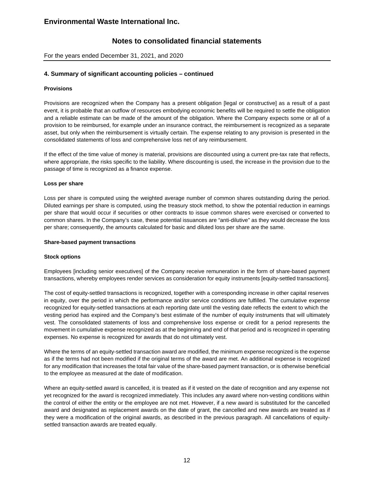# **Notes to consolidated financial statements**

### For the years ended December 31, 2021, and 2020

### **4. Summary of significant accounting policies – continued**

#### **Provisions**

Provisions are recognized when the Company has a present obligation [legal or constructive] as a result of a past event, it is probable that an outflow of resources embodying economic benefits will be required to settle the obligation and a reliable estimate can be made of the amount of the obligation. Where the Company expects some or all of a provision to be reimbursed, for example under an insurance contract, the reimbursement is recognized as a separate asset, but only when the reimbursement is virtually certain. The expense relating to any provision is presented in the consolidated statements of loss and comprehensive loss net of any reimbursement.

If the effect of the time value of money is material, provisions are discounted using a current pre-tax rate that reflects, where appropriate, the risks specific to the liability. Where discounting is used, the increase in the provision due to the passage of time is recognized as a finance expense.

#### **Loss per share**

Loss per share is computed using the weighted average number of common shares outstanding during the period. Diluted earnings per share is computed, using the treasury stock method, to show the potential reduction in earnings per share that would occur if securities or other contracts to issue common shares were exercised or converted to common shares. In the Company's case, these potential issuances are "anti-dilutive" as they would decrease the loss per share; consequently, the amounts calculated for basic and diluted loss per share are the same.

#### **Share-based payment transactions**

#### **Stock options**

Employees [including senior executives] of the Company receive remuneration in the form of share-based payment transactions, whereby employees render services as consideration for equity instruments [equity-settled transactions].

The cost of equity-settled transactions is recognized, together with a corresponding increase in other capital reserves in equity, over the period in which the performance and/or service conditions are fulfilled. The cumulative expense recognized for equity-settled transactions at each reporting date until the vesting date reflects the extent to which the vesting period has expired and the Company's best estimate of the number of equity instruments that will ultimately vest. The consolidated statements of loss and comprehensive loss expense or credit for a period represents the movement in cumulative expense recognized as at the beginning and end of that period and is recognized in operating expenses. No expense is recognized for awards that do not ultimately vest.

Where the terms of an equity-settled transaction award are modified, the minimum expense recognized is the expense as if the terms had not been modified if the original terms of the award are met. An additional expense is recognized for any modification that increases the total fair value of the share-based payment transaction, or is otherwise beneficial to the employee as measured at the date of modification.

Where an equity-settled award is cancelled, it is treated as if it vested on the date of recognition and any expense not yet recognized for the award is recognized immediately. This includes any award where non-vesting conditions within the control of either the entity or the employee are not met. However, if a new award is substituted for the cancelled award and designated as replacement awards on the date of grant, the cancelled and new awards are treated as if they were a modification of the original awards, as described in the previous paragraph. All cancellations of equitysettled transaction awards are treated equally.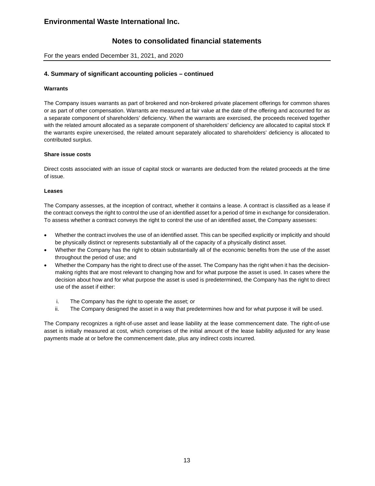# **Notes to consolidated financial statements**

### For the years ended December 31, 2021, and 2020

### **4. Summary of significant accounting policies – continued**

#### **Warrants**

The Company issues warrants as part of brokered and non-brokered private placement offerings for common shares or as part of other compensation. Warrants are measured at fair value at the date of the offering and accounted for as a separate component of shareholders' deficiency. When the warrants are exercised, the proceeds received together with the related amount allocated as a separate component of shareholders' deficiency are allocated to capital stock If the warrants expire unexercised, the related amount separately allocated to shareholders' deficiency is allocated to contributed surplus.

#### **Share issue costs**

Direct costs associated with an issue of capital stock or warrants are deducted from the related proceeds at the time of issue.

#### **Leases**

The Company assesses, at the inception of contract, whether it contains a lease. A contract is classified as a lease if the contract conveys the right to control the use of an identified asset for a period of time in exchange for consideration. To assess whether a contract conveys the right to control the use of an identified asset, the Company assesses:

- Whether the contract involves the use of an identified asset. This can be specified explicitly or implicitly and should be physically distinct or represents substantially all of the capacity of a physically distinct asset.
- Whether the Company has the right to obtain substantially all of the economic benefits from the use of the asset throughout the period of use; and
- Whether the Company has the right to direct use of the asset. The Company has the right when it has the decisionmaking rights that are most relevant to changing how and for what purpose the asset is used. In cases where the decision about how and for what purpose the asset is used is predetermined, the Company has the right to direct use of the asset if either:
	- i. The Company has the right to operate the asset; or
	- ii. The Company designed the asset in a way that predetermines how and for what purpose it will be used.

The Company recognizes a right‐of‐use asset and lease liability at the lease commencement date. The right‐of‐use asset is initially measured at cost, which comprises of the initial amount of the lease liability adjusted for any lease payments made at or before the commencement date, plus any indirect costs incurred.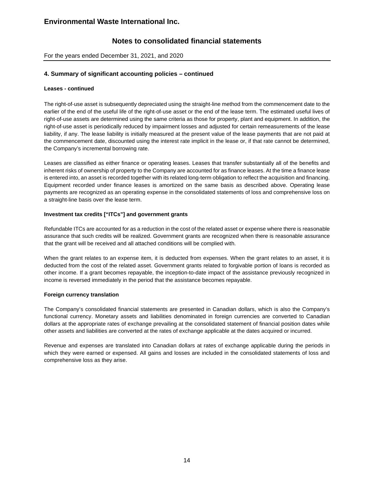# **Notes to consolidated financial statements**

For the years ended December 31, 2021, and 2020

### **4. Summary of significant accounting policies – continued**

#### **Leases - continued**

The right‐of‐use asset is subsequently depreciated using the straight‐line method from the commencement date to the earlier of the end of the useful life of the right‐of‐use asset or the end of the lease term. The estimated useful lives of right-of-use assets are determined using the same criteria as those for property, plant and equipment. In addition, the right-of-use asset is periodically reduced by impairment losses and adjusted for certain remeasurements of the lease liability, if any. The lease liability is initially measured at the present value of the lease payments that are not paid at the commencement date, discounted using the interest rate implicit in the lease or, if that rate cannot be determined, the Company's incremental borrowing rate.

Leases are classified as either finance or operating leases. Leases that transfer substantially all of the benefits and inherent risks of ownership of property to the Company are accounted for as finance leases. At the time a finance lease is entered into, an asset is recorded together with its related long-term obligation to reflect the acquisition and financing. Equipment recorded under finance leases is amortized on the same basis as described above. Operating lease payments are recognized as an operating expense in the consolidated statements of loss and comprehensive loss on a straight-line basis over the lease term.

#### **Investment tax credits ["ITCs"] and government grants**

Refundable ITCs are accounted for as a reduction in the cost of the related asset or expense where there is reasonable assurance that such credits will be realized. Government grants are recognized when there is reasonable assurance that the grant will be received and all attached conditions will be complied with.

When the grant relates to an expense item, it is deducted from expenses. When the grant relates to an asset, it is deducted from the cost of the related asset. Government grants related to forgivable portion of loans is recorded as other income. If a grant becomes repayable, the inception-to-date impact of the assistance previously recognized in income is reversed immediately in the period that the assistance becomes repayable.

#### **Foreign currency translation**

The Company's consolidated financial statements are presented in Canadian dollars, which is also the Company's functional currency. Monetary assets and liabilities denominated in foreign currencies are converted to Canadian dollars at the appropriate rates of exchange prevailing at the consolidated statement of financial position dates while other assets and liabilities are converted at the rates of exchange applicable at the dates acquired or incurred.

Revenue and expenses are translated into Canadian dollars at rates of exchange applicable during the periods in which they were earned or expensed. All gains and losses are included in the consolidated statements of loss and comprehensive loss as they arise.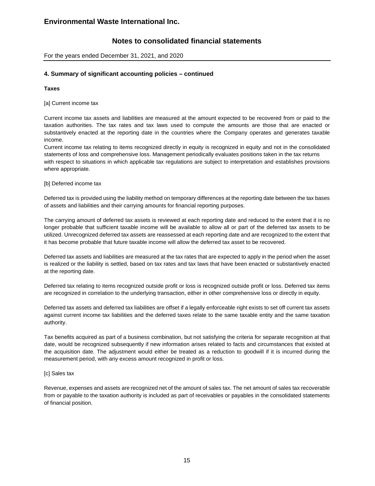# **Notes to consolidated financial statements**

For the years ended December 31, 2021, and 2020

### **4. Summary of significant accounting policies – continued**

#### **Taxes**

[a] Current income tax

Current income tax assets and liabilities are measured at the amount expected to be recovered from or paid to the taxation authorities. The tax rates and tax laws used to compute the amounts are those that are enacted or substantively enacted at the reporting date in the countries where the Company operates and generates taxable income.

Current income tax relating to items recognized directly in equity is recognized in equity and not in the consolidated statements of loss and comprehensive loss. Management periodically evaluates positions taken in the tax returns with respect to situations in which applicable tax regulations are subject to interpretation and establishes provisions where appropriate.

[b] Deferred income tax

Deferred tax is provided using the liability method on temporary differences at the reporting date between the tax bases of assets and liabilities and their carrying amounts for financial reporting purposes.

The carrying amount of deferred tax assets is reviewed at each reporting date and reduced to the extent that it is no longer probable that sufficient taxable income will be available to allow all or part of the deferred tax assets to be utilized. Unrecognized deferred tax assets are reassessed at each reporting date and are recognized to the extent that it has become probable that future taxable income will allow the deferred tax asset to be recovered.

Deferred tax assets and liabilities are measured at the tax rates that are expected to apply in the period when the asset is realized or the liability is settled, based on tax rates and tax laws that have been enacted or substantively enacted at the reporting date.

Deferred tax relating to items recognized outside profit or loss is recognized outside profit or loss. Deferred tax items are recognized in correlation to the underlying transaction, either in other comprehensive loss or directly in equity.

Deferred tax assets and deferred tax liabilities are offset if a legally enforceable right exists to set off current tax assets against current income tax liabilities and the deferred taxes relate to the same taxable entity and the same taxation authority.

Tax benefits acquired as part of a business combination, but not satisfying the criteria for separate recognition at that date, would be recognized subsequently if new information arises related to facts and circumstances that existed at the acquisition date. The adjustment would either be treated as a reduction to goodwill if it is incurred during the measurement period, with any excess amount recognized in profit or loss.

#### [c] Sales tax

Revenue, expenses and assets are recognized net of the amount of sales tax. The net amount of sales tax recoverable from or payable to the taxation authority is included as part of receivables or payables in the consolidated statements of financial position.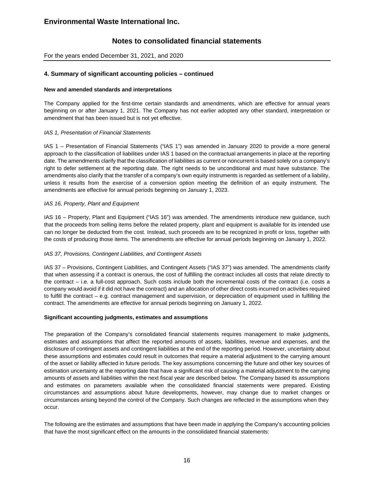# **Notes to consolidated financial statements**

### For the years ended December 31, 2021, and 2020

### **4. Summary of significant accounting policies – continued**

#### **New and amended standards and interpretations**

The Company applied for the first-time certain standards and amendments, which are effective for annual years beginning on or after January 1, 2021. The Company has not earlier adopted any other standard, interpretation or amendment that has been issued but is not yet effective.

#### *IAS 1, Presentation of Financial Statements*

IAS 1 – Presentation of Financial Statements ("IAS 1") was amended in January 2020 to provide a more general approach to the classification of liabilities under IAS 1 based on the contractual arrangements in place at the reporting date. The amendments clarify that the classification of liabilities as current or noncurrent is based solely on a company's right to defer settlement at the reporting date. The right needs to be unconditional and must have substance. The amendments also clarify that the transfer of a company's own equity instruments is regarded as settlement of a liability, unless it results from the exercise of a conversion option meeting the definition of an equity instrument. The amendments are effective for annual periods beginning on January 1, 2023.

#### *IAS 16, Property, Plant and Equipment*

IAS 16 – Property, Plant and Equipment ("IAS 16") was amended. The amendments introduce new guidance, such that the proceeds from selling items before the related property, plant and equipment is available for its intended use can no longer be deducted from the cost. Instead, such proceeds are to be recognized in profit or loss, together with the costs of producing those items. The amendments are effective for annual periods beginning on January 1, 2022.

#### *IAS 37, Provisions, Contingent Liabilities, and Contingent Assets*

IAS 37 – Provisions, Contingent Liabilities, and Contingent Assets ("IAS 37") was amended. The amendments clarify that when assessing if a contract is onerous, the cost of fulfilling the contract includes all costs that relate directly to the contract – i.e. a full-cost approach. Such costs include both the incremental costs of the contract (i.e. costs a company would avoid if it did not have the contract) and an allocation of other direct costs incurred on activities required to fulfill the contract – e.g. contract management and supervision, or depreciation of equipment used in fulfilling the contract. The amendments are effective for annual periods beginning on January 1, 2022.

#### **Significant accounting judgments, estimates and assumptions**

The preparation of the Company's consolidated financial statements requires management to make judgments, estimates and assumptions that affect the reported amounts of assets, liabilities, revenue and expenses, and the disclosure of contingent assets and contingent liabilities at the end of the reporting period. However, uncertainty about these assumptions and estimates could result in outcomes that require a material adjustment to the carrying amount of the asset or liability affected in future periods. The key assumptions concerning the future and other key sources of estimation uncertainty at the reporting date that have a significant risk of causing a material adjustment to the carrying amounts of assets and liabilities within the next fiscal year are described below. The Company based its assumptions and estimates on parameters available when the consolidated financial statements were prepared. Existing circumstances and assumptions about future developments, however, may change due to market changes or circumstances arising beyond the control of the Company. Such changes are reflected in the assumptions when they occur.

The following are the estimates and assumptions that have been made in applying the Company's accounting policies that have the most significant effect on the amounts in the consolidated financial statements: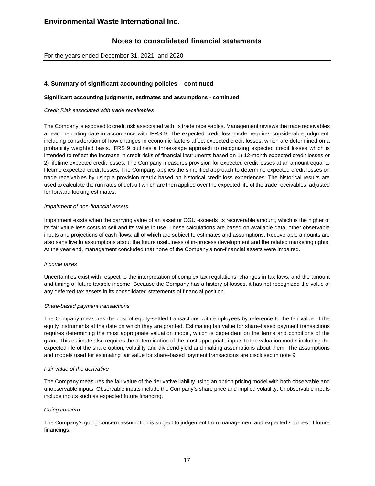## **Notes to consolidated financial statements**

For the years ended December 31, 2021, and 2020

### **4. Summary of significant accounting policies – continued**

#### **Significant accounting judgments, estimates and assumptions - continued**

#### *Credit Risk associated with trade receivables*

The Company is exposed to credit risk associated with its trade receivables. Management reviews the trade receivables at each reporting date in accordance with IFRS 9. The expected credit loss model requires considerable judgment, including consideration of how changes in economic factors affect expected credit losses, which are determined on a probability weighted basis. IFRS 9 outlines a three-stage approach to recognizing expected credit losses which is intended to reflect the increase in credit risks of financial instruments based on 1) 12-month expected credit losses or 2) lifetime expected credit losses. The Company measures provision for expected credit losses at an amount equal to lifetime expected credit losses. The Company applies the simplified approach to determine expected credit losses on trade receivables by using a provision matrix based on historical credit loss experiences. The historical results are used to calculate the run rates of default which are then applied over the expected life of the trade receivables, adjusted for forward looking estimates.

#### *Impairment of non-financial assets*

Impairment exists when the carrying value of an asset or CGU exceeds its recoverable amount, which is the higher of its fair value less costs to sell and its value in use. These calculations are based on available data, other observable inputs and projections of cash flows, all of which are subject to estimates and assumptions. Recoverable amounts are also sensitive to assumptions about the future usefulness of in-process development and the related marketing rights. At the year end, management concluded that none of the Company's non-financial assets were impaired.

#### *Income taxes*

Uncertainties exist with respect to the interpretation of complex tax regulations, changes in tax laws, and the amount and timing of future taxable income. Because the Company has a history of losses, it has not recognized the value of any deferred tax assets in its consolidated statements of financial position.

#### *Share-based payment transactions*

The Company measures the cost of equity-settled transactions with employees by reference to the fair value of the equity instruments at the date on which they are granted. Estimating fair value for share-based payment transactions requires determining the most appropriate valuation model, which is dependent on the terms and conditions of the grant. This estimate also requires the determination of the most appropriate inputs to the valuation model including the expected life of the share option, volatility and dividend yield and making assumptions about them. The assumptions and models used for estimating fair value for share-based payment transactions are disclosed in note 9.

#### *Fair value of the derivative*

The Company measures the fair value of the derivative liability using an option pricing model with both observable and unobservable inputs. Observable inputs include the Company's share price and implied volatility. Unobservable inputs include inputs such as expected future financing.

#### *Going concern*

The Company's going concern assumption is subject to judgement from management and expected sources of future financings.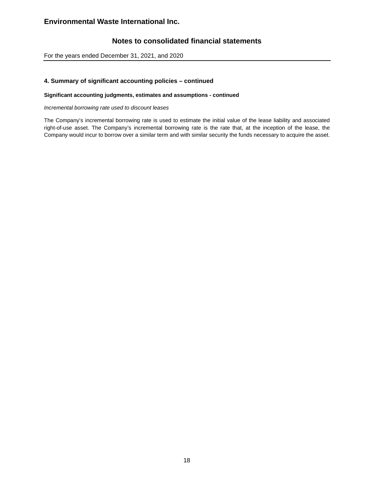## **Notes to consolidated financial statements**

For the years ended December 31, 2021, and 2020

### **4. Summary of significant accounting policies – continued**

#### **Significant accounting judgments, estimates and assumptions - continued**

*Incremental borrowing rate used to discount leases* 

The Company's incremental borrowing rate is used to estimate the initial value of the lease liability and associated right-of-use asset. The Company's incremental borrowing rate is the rate that, at the inception of the lease, the Company would incur to borrow over a similar term and with similar security the funds necessary to acquire the asset.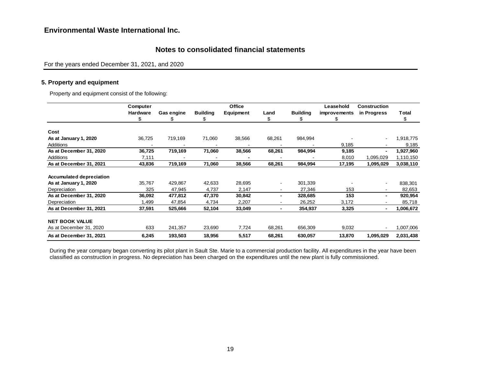# **Notes to consolidated financial statements**

For the years ended December 31, 2021, and 2020

#### **5. Property and equipment**

Property and equipment consist of the following:

|                                 | Computer                 |                          |                       | <b>Office</b>            |            |                       | Leasehold                 | Construction             |             |
|---------------------------------|--------------------------|--------------------------|-----------------------|--------------------------|------------|-----------------------|---------------------------|--------------------------|-------------|
|                                 | Hardware<br>\$           | Gas engine<br>æ          | <b>Building</b><br>\$ | Equipment                | Land<br>\$ | <b>Building</b><br>æ. | <i>improvements</i><br>\$ | in Progress              | Total<br>\$ |
|                                 |                          |                          |                       |                          |            |                       |                           |                          |             |
| Cost                            |                          |                          |                       |                          |            |                       |                           |                          |             |
| As at January 1, 2020           | 36,725                   | 719,169                  | 71,060                | 38,566                   | 68,261     | 984,994               |                           |                          | 1,918,775   |
| Additions                       | $\overline{\phantom{a}}$ |                          |                       | $\overline{\phantom{a}}$ |            |                       | 9,185                     |                          | 9,185       |
| As at December 31, 2020         | 36,725                   | 719,169                  | 71,060                | 38,566                   | 68,261     | 984,994               | 9,185                     |                          | 1,927,960   |
| Additions                       | 7,111                    | $\overline{\phantom{a}}$ |                       | $\blacksquare$           |            |                       | 8,010                     | 1,095,029                | 1,110,150   |
| As at December 31, 2021         | 43,836                   | 719,169                  | 71,060                | 38,566                   | 68,261     | 984,994               | 17,195                    | 1,095,029                | 3,038,110   |
| <b>Accumulated depreciation</b> |                          |                          |                       |                          |            |                       |                           |                          |             |
| As at January 1, 2020           | 35,767                   | 429,867                  | 42,633                | 28,695                   |            | 301,339               |                           |                          | 838,301     |
| Depreciation                    | 325                      | 47,945                   | 4,737                 | 2,147                    |            | 27,346                | 153                       |                          | 82,653      |
| As at December 31, 2020         | 36,092                   | 477,812                  | 47,370                | 30,842                   |            | 328,685               | 153                       |                          | 920,954     |
| Depreciation                    | 1,499                    | 47,854                   | 4,734                 | 2,207                    |            | 26,252                | 3,172                     | $\overline{\phantom{a}}$ | 85,718      |
| As at December 31, 2021         | 37,591                   | 525,666                  | 52,104                | 33,049                   |            | 354,937               | 3,325                     |                          | 1,006,672   |
| <b>NET BOOK VALUE</b>           |                          |                          |                       |                          |            |                       |                           |                          |             |
| As at December 31, 2020         | 633                      | 241,357                  | 23,690                | 7,724                    | 68,261     | 656,309               | 9,032                     |                          | 1,007,006   |
| As at December 31, 2021         | 6,245                    | 193,503                  | 18,956                | 5,517                    | 68,261     | 630,057               | 13,870                    | 1,095,029                | 2,031,438   |

During the year company began converting its pilot plant in Sault Ste. Marie to a commercial production facility. All expenditures in the year have been classified as construction in progress. No depreciation has been charged on the expenditures until the new plant is fully commissioned.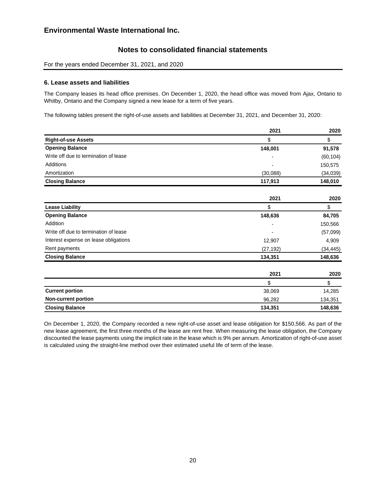# **Notes to consolidated financial statements**

For the years ended December 31, 2021, and 2020

### **6. Lease assets and liabilities**

The Company leases its head office premises. On December 1, 2020, the head office was moved from Ajax, Ontario to Whitby, Ontario and the Company signed a new lease for a term of five years.

The following tables present the right-of-use assets and liabilities at December 31, 2021, and December 31, 2020:

|                                       | 2021      | 2020      |
|---------------------------------------|-----------|-----------|
| <b>Right-of-use Assets</b>            | \$        | \$        |
| <b>Opening Balance</b>                | 148,001   | 91,578    |
| Write off due to termination of lease |           | (60, 104) |
| Additions                             |           | 150,575   |
| Amortization                          | (30,088)  | (34, 039) |
| <b>Closing Balance</b>                | 117,913   | 148,010   |
|                                       | 2021      | 2020      |
| <b>Lease Liability</b>                | \$        | \$        |
| <b>Opening Balance</b>                | 148,636   | 84,705    |
| Addition                              |           | 150,566   |
| Write off due to termination of lease |           | (57,099)  |
| Interest expense on lease obligations | 12,907    | 4,909     |
| Rent payments                         | (27, 192) | (34, 445) |
| <b>Closing Balance</b>                | 134,351   | 148,636   |
|                                       | 2021      | 2020      |
|                                       | \$        | \$        |
| <b>Current portion</b>                | 38,069    | 14,285    |
| <b>Non-current portion</b>            | 96,282    | 134,351   |
| <b>Closing Balance</b>                | 134,351   | 148,636   |

On December 1, 2020, the Company recorded a new right-of-use asset and lease obligation for \$150,566. As part of the new lease agreement, the first three months of the lease are rent free. When measuring the lease obligation, the Company discounted the lease payments using the implicit rate in the lease which is 9% per annum. Amortization of right-of-use asset is calculated using the straight-line method over their estimated useful life of term of the lease.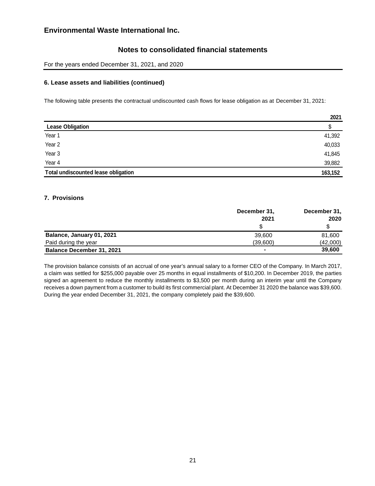# **Notes to consolidated financial statements**

For the years ended December 31, 2021, and 2020

### **6. Lease assets and liabilities (continued)**

The following table presents the contractual undiscounted cash flows for lease obligation as at December 31, 2021:

|                                     | 2021    |
|-------------------------------------|---------|
| <b>Lease Obligation</b>             | Φ       |
| Year 1                              | 41,392  |
| Year <sub>2</sub>                   | 40,033  |
| Year <sub>3</sub>                   | 41,845  |
| Year 4                              | 39,882  |
| Total undiscounted lease obligation | 163,152 |

### **7. Provisions**

|                                  | December 31,             | December 31, |  |
|----------------------------------|--------------------------|--------------|--|
|                                  | 2021                     | 2020         |  |
|                                  | S                        |              |  |
| Balance, January 01, 2021        | 39,600                   | 81.600       |  |
| Paid during the year             | (39,600)                 | (42,000)     |  |
| <b>Balance December 31, 2021</b> | $\overline{\phantom{a}}$ | 39,600       |  |

The provision balance consists of an accrual of one year's annual salary to a former CEO of the Company*.* In March 2017, a claim was settled for \$255,000 payable over 25 months in equal installments of \$10,200. In December 2019, the parties signed an agreement to reduce the monthly installments to \$3,500 per month during an interim year until the Company receives a down payment from a customer to build its first commercial plant. At December 31 2020 the balance was \$39,600. During the year ended December 31, 2021, the company completely paid the \$39,600.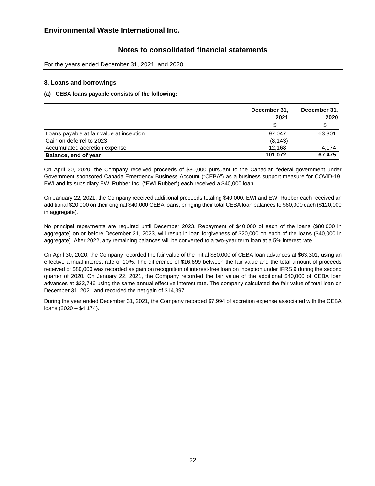# **Notes to consolidated financial statements**

For the years ended December 31, 2021, and 2020

#### **8. Loans and borrowings**

#### **(a) CEBA loans payable consists of the following:**

|                                          | December 31,<br>2021<br>S | December 31,<br>2020 |
|------------------------------------------|---------------------------|----------------------|
| Loans payable at fair value at inception | 97,047                    | 63,301               |
| Gain on deferrel to 2023                 | (8, 143)                  |                      |
| Accumulated accretion expense            | 12.168                    | 4.174                |
| Balance, end of year                     | 101,072                   | 67,475               |

On April 30, 2020, the Company received proceeds of \$80,000 pursuant to the Canadian federal government under Government sponsored Canada Emergency Business Account ("CEBA") as a business support measure for COVID-19. EWI and its subsidiary EWI Rubber Inc. ("EWI Rubber") each received a \$40,000 loan.

On January 22, 2021, the Company received additional proceeds totaling \$40,000. EWI and EWI Rubber each received an additional \$20,000 on their original \$40,000 CEBA loans, bringing their total CEBA loan balances to \$60,000 each (\$120,000 in aggregate)*.* 

No principal repayments are required until December 2023. Repayment of \$40,000 of each of the loans (\$80,000 in aggregate) on or before December 31, 2023, will result in loan forgiveness of \$20,000 on each of the loans (\$40,000 in aggregate). After 2022, any remaining balances will be converted to a two-year term loan at a 5% interest rate.

On April 30, 2020, the Company recorded the fair value of the initial \$80,000 of CEBA loan advances at \$63,301, using an effective annual interest rate of 10%. The difference of \$16,699 between the fair value and the total amount of proceeds received of \$80,000 was recorded as gain on recognition of interest-free loan on inception under IFRS 9 during the second quarter of 2020*.* On January 22, 2021, the Company recorded the fair value of the additional \$40,000 of CEBA loan advances at \$33,746 using the same annual effective interest rate. The company calculated the fair value of total loan on December 31, 2021 and recorded the net gain of \$14,397.

During the year ended December 31, 2021, the Company recorded \$7,994 of accretion expense associated with the CEBA loans (2020 – \$4,174).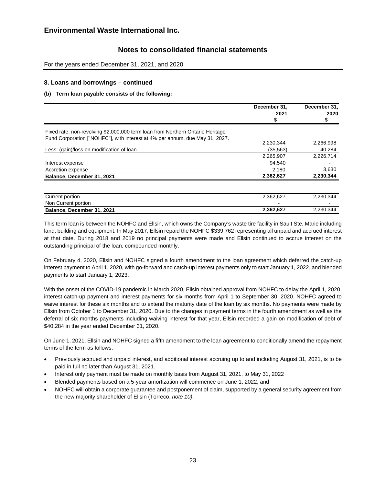# **Notes to consolidated financial statements**

For the years ended December 31, 2021, and 2020

### **8. Loans and borrowings – continued**

#### **(b) Term loan payable consists of the following:**

|                                                                                                                                                                | December 31,<br>2021 | December 31,<br>2020 |  |
|----------------------------------------------------------------------------------------------------------------------------------------------------------------|----------------------|----------------------|--|
|                                                                                                                                                                | \$                   | S                    |  |
| Fixed rate, non-revolving \$2,000,000 term loan from Northern Ontario Heritage<br>Fund Corporation ["NOHFC"], with interest at 4% per annum, due May 31, 2027. |                      |                      |  |
|                                                                                                                                                                | 2,230,344            | 2,266,998            |  |
| Less: (gain)/loss on modification of loan                                                                                                                      | (35, 563)            | 40,284               |  |
|                                                                                                                                                                | 2,265,907            | 2,226,714            |  |
| Interest expense                                                                                                                                               | 94,540               |                      |  |
| Accretion expense                                                                                                                                              | 2,180                | 3,630                |  |
| Balance, December 31, 2021                                                                                                                                     | 2,362,627            | 2,230,344            |  |
| Current portion                                                                                                                                                | 2,362,627            | 2,230,344            |  |
| Non Current portion                                                                                                                                            |                      |                      |  |
| Balance, December 31, 2021                                                                                                                                     | 2,362,627            | 2,230,344            |  |

This term loan is between the NOHFC and Ellsin, which owns the Company's waste tire facility in Sault Ste. Marie including land, building and equipment. In May 2017, Ellsin repaid the NOHFC \$339,762 representing all unpaid and accrued interest at that date. During 2018 and 2019 no principal payments were made and Ellsin continued to accrue interest on the outstanding principal of the loan, compounded monthly.

On February 4, 2020, Ellsin and NOHFC signed a fourth amendment to the loan agreement which deferred the catch-up interest payment to April 1, 2020, with go-forward and catch-up interest payments only to start January 1, 2022, and blended payments to start January 1, 2023.

With the onset of the COVID-19 pandemic in March 2020, Ellsin obtained approval from NOHFC to delay the April 1, 2020, interest catch-up payment and interest payments for six months from April 1 to September 30, 2020. NOHFC agreed to waive interest for these six months and to extend the maturity date of the loan by six months. No payments were made by Ellsin from October 1 to December 31, 2020. Due to the changes in payment terms in the fourth amendment as well as the deferral of six months payments including waiving interest for that year, Ellsin recorded a gain on modification of debt of \$40,284 in the year ended December 31, 2020.

On June 1, 2021, Ellsin and NOHFC signed a fifth amendment to the loan agreement to conditionally amend the repayment terms of the term as follows:

- Previously accrued and unpaid interest, and additional interest accruing up to and including August 31, 2021, is to be paid in full no later than August 31, 2021.
- Interest only payment must be made on monthly basis from August 31, 2021, to May 31, 2022
- Blended payments based on a 5-year amortization will commence on June 1, 2022, and
- NOHFC will obtain a corporate guarantee and postponement of claim, supported by a general security agreement from the new majority shareholder of Ellsin (Torreco, *note 10)*.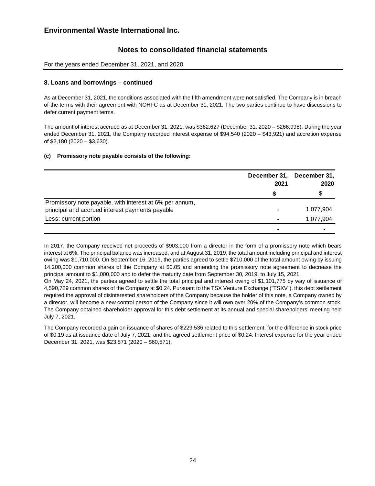# **Notes to consolidated financial statements**

### For the years ended December 31, 2021, and 2020

### **8. Loans and borrowings – continued**

As at December 31, 2021, the conditions associated with the fifth amendment were not satisfied. The Company is in breach of the terms with their agreement with NOHFC as at December 31, 2021. The two parties continue to have discussions to defer current payment terms.

The amount of interest accrued as at December 31, 2021, was \$362,627 (December 31, 2020 – \$266,998). During the year ended December 31, 2021, the Company recorded interest expense of \$94,540 (2020 – \$43,921) and accretion expense of \$2,180 (2020 – \$3,630).

#### **(c) Promissory note payable consists of the following:**

|                                                         | December 31,<br>2021 | December 31,<br>2020 |
|---------------------------------------------------------|----------------------|----------------------|
|                                                         |                      |                      |
| Promissory note payable, with interest at 6% per annum, |                      |                      |
| principal and accrued interest payments payable         |                      | 1,077,904            |
| Less: current portion                                   |                      | 1,077,904            |
|                                                         |                      |                      |

In 2017, the Company received net proceeds of \$903,000 from a director in the form of a promissory note which bears interest at 6%. The principal balance was increased, and at August 31, 2019, the total amount including principal and interest owing was \$1,710,000. On September 16, 2019, the parties agreed to settle \$710,000 of the total amount owing by issuing 14,200,000 common shares of the Company at \$0.05 and amending the promissory note agreement to decrease the principal amount to \$1,000,000 and to defer the maturity date from September 30, 2019, to July 15, 2021.

On May 24, 2021, the parties agreed to settle the total principal and interest owing of \$1,101,775 by way of issuance of 4,590,729 common shares of the Company at \$0.24. Pursuant to the TSX Venture Exchange ("TSXV"), this debt settlement required the approval of disinterested shareholders of the Company because the holder of this note, a Company owned by a director, will become a new control person of the Company since it will own over 20% of the Company's common stock. The Company obtained shareholder approval for this debt settlement at its annual and special shareholders' meeting held July 7, 2021.

 The Company recorded a gain on issuance of shares of \$229,536 related to this settlement, for the difference in stock price of \$0.19 as at issuance date of July 7, 2021, and the agreed settlement price of \$0.24. Interest expense for the year ended December 31, 2021, was \$23,871 (2020 – \$60,571).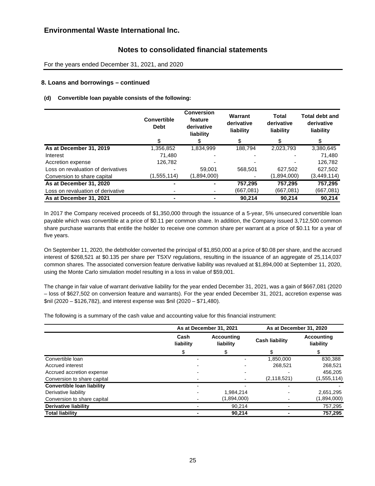# **Notes to consolidated financial statements**

For the years ended December 31, 2021, and 2020

### **8. Loans and borrowings – continued**

#### **(d) Convertible loan payable consists of the following:**

|                                    | <b>Convertible</b><br><b>Debt</b> | <b>Conversion</b><br>feature<br>derivative<br>liability | Warrant<br>derivative<br>liability | Total<br>derivative<br>liability | <b>Total debt and</b><br>derivative<br>liability |
|------------------------------------|-----------------------------------|---------------------------------------------------------|------------------------------------|----------------------------------|--------------------------------------------------|
|                                    | S                                 |                                                         | S                                  | \$                               | \$                                               |
| As at December 31, 2019            | 1,356,852                         | 1.834.999                                               | 188,794                            | 2,023,793                        | 3,380,645                                        |
| Interest                           | 71.480                            |                                                         |                                    |                                  | 71,480                                           |
| Accretion expense                  | 126,782                           |                                                         |                                    |                                  | 126,782                                          |
| Loss on revaluation of derivatives |                                   | 59.001                                                  | 568.501                            | 627,502                          | 627,502                                          |
| Conversion to share capital        | (1,555,114)                       | (1,894,000)                                             |                                    | (1,894,000)                      | (3, 449, 114)                                    |
| As at December 31, 2020            |                                   |                                                         | 757.295                            | 757.295                          | 757,295                                          |
| Loss on revaluation of derivative  |                                   |                                                         | (667,081)                          | (667,081)                        | (667,081)                                        |
| As at December 31, 2021            |                                   |                                                         | 90,214                             | 90,214                           | 90.214                                           |

In 2017 the Company received proceeds of \$1,350,000 through the issuance of a 5-year, 5% unsecured convertible loan payable which was convertible at a price of \$0.11 per common share. In addition, the Company issued 3,712,500 common share purchase warrants that entitle the holder to receive one common share per warrant at a price of \$0.11 for a year of five years.

On September 11, 2020, the debtholder converted the principal of \$1,850,000 at a price of \$0.08 per share, and the accrued interest of \$268,521 at \$0.135 per share per TSXV regulations, resulting in the issuance of an aggregate of 25,114,037 common shares*.* The associated conversion feature derivative liability was revalued at \$1,894,000 at September 11, 2020, using the Monte Carlo simulation model resulting in a loss in value of \$59,001.

The change in fair value of warrant derivative liability for the year ended December 31, 2021, was a gain of \$667,081 (2020 – loss of \$627,502 on conversion feature and warrants). For the year ended December 31, 2021, accretion expense was \$nil (2020 – \$126,782), and interest expense was \$nil (2020 – \$71,480).

The following is a summary of the cash value and accounting value for this financial instrument:

|                                   |                   | As at December 31, 2021        | As at December 31, 2020 |                                |
|-----------------------------------|-------------------|--------------------------------|-------------------------|--------------------------------|
|                                   | Cash<br>liability | <b>Accounting</b><br>liability | <b>Cash liability</b>   | <b>Accounting</b><br>liability |
|                                   |                   |                                |                         |                                |
| Convertible Ioan                  |                   |                                | 1,850,000               | 830,388                        |
| Accrued interest                  |                   |                                | 268,521                 | 268,521                        |
| Accrued accretion expense         |                   |                                |                         | 456.205                        |
| Conversion to share capital       |                   |                                | (2, 118, 521)           | (1, 555, 114)                  |
| <b>Convertible loan liability</b> |                   |                                |                         |                                |
| Derivative liability              |                   | 1,984,214                      |                         | 2,651,295                      |
| Conversion to share capital       |                   | (1,894,000)                    |                         | (1,894,000)                    |
| <b>Derivative liability</b>       |                   | 90.214                         |                         | 757,295                        |
| <b>Total liability</b>            |                   | 90.214                         |                         | 757.295                        |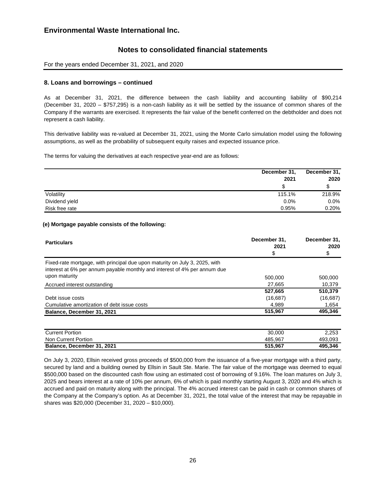# **Notes to consolidated financial statements**

### For the years ended December 31, 2021, and 2020

### **8. Loans and borrowings – continued**

As at December 31, 2021, the difference between the cash liability and accounting liability of \$90,214 (December 31, 2020 – \$757,295) is a non-cash liability as it will be settled by the issuance of common shares of the Company if the warrants are exercised. It represents the fair value of the benefit conferred on the debtholder and does not represent a cash liability.

This derivative liability was re-valued at December 31, 2021, using the Monte Carlo simulation model using the following assumptions, as well as the probability of subsequent equity raises and expected issuance price.

The terms for valuing the derivatives at each respective year-end are as follows:

|                | December 31,<br>2021 | December 31,<br>2020 |
|----------------|----------------------|----------------------|
|                | S                    |                      |
| Volatility     | 115.1%               | 218.9%               |
| Dividend yield | 0.0%                 | $0.0\%$              |
| Risk free rate | 0.95%                | 0.20%                |

#### **(e) Mortgage payable consists of the following:**

| <b>Particulars</b>                                                                                                                                       | December 31.<br>2021<br>\$ | December 31,<br>2020<br>\$ |
|----------------------------------------------------------------------------------------------------------------------------------------------------------|----------------------------|----------------------------|
| Fixed-rate mortgage, with principal due upon maturity on July 3, 2025, with<br>interest at 6% per annum payable monthly and interest of 4% per annum due |                            |                            |
| upon maturity                                                                                                                                            | 500,000                    | 500,000                    |
| Accrued interest outstanding                                                                                                                             | 27,665                     | 10,379                     |
|                                                                                                                                                          | 527,665                    | 510,379                    |
| Debt issue costs                                                                                                                                         | (16, 687)                  | (16, 687)                  |
| Cumulative amortization of debt issue costs                                                                                                              | 4,989                      | 1,654                      |
| Balance, December 31, 2021                                                                                                                               | 515,967                    | 495,346                    |
| <b>Current Portion</b>                                                                                                                                   | 30,000                     | 2,253                      |
| Non Current Portion                                                                                                                                      | 485.967                    | 493,093                    |
| Balance, December 31, 2021                                                                                                                               | 515,967                    | 495.346                    |

On July 3, 2020, Ellsin received gross proceeds of \$500,000 from the issuance of a five-year mortgage with a third party, secured by land and a building owned by Ellsin in Sault Ste. Marie. The fair value of the mortgage was deemed to equal \$500,000 based on the discounted cash flow using an estimated cost of borrowing of 9.16%. The loan matures on July 3, 2025 and bears interest at a rate of 10% per annum, 6% of which is paid monthly starting August 3, 2020 and 4% which is accrued and paid on maturity along with the principal. The 4% accrued interest can be paid in cash or common shares of the Company at the Company's option. As at December 31, 2021, the total value of the interest that may be repayable in shares was \$20,000 (December 31, 2020 – \$10,000).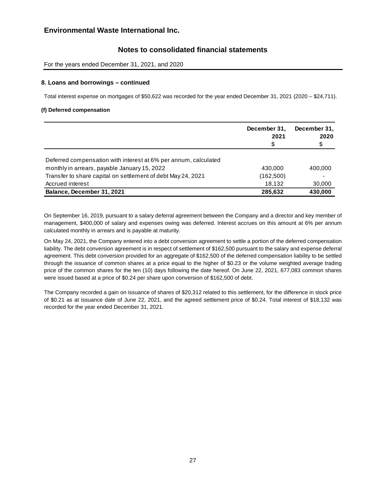# **Notes to consolidated financial statements**

For the years ended December 31, 2021, and 2020

### **8. Loans and borrowings – continued**

Total interest expense on mortgages of \$50,622 was recorded for the year ended December 31, 2021 (2020 – \$24,711).

### **(f) Deferred compensation**

|                                                                 | December 31,<br>2021<br>\$ | December 31,<br>2020<br>\$ |
|-----------------------------------------------------------------|----------------------------|----------------------------|
| Deferred compensation with interest at 6% per annum, calculated |                            |                            |
| monthly in arrears, payable January 15, 2022                    | 430,000                    | 400,000                    |
| Transfer to share capital on settlement of debt May 24, 2021    | (162, 500)                 |                            |
| Accrued interest                                                | 18.132                     | 30,000                     |
| Balance, December 31, 2021                                      | 285,632                    | 430.000                    |

On September 16, 2019, pursuant to a salary deferral agreement between the Company and a director and key member of management, \$400,000 of salary and expenses owing was deferred. Interest accrues on this amount at 6% per annum calculated monthly in arrears and is payable at maturity*.* 

On May 24, 2021, the Company entered into a debt conversion agreement to settle a portion of the deferred compensation liability. The debt conversion agreement is in respect of settlement of \$162,500 pursuant to the salary and expense deferral agreement. This debt conversion provided for an aggregate of \$162,500 of the deferred compensation liability to be settled through the issuance of common shares at a price equal to the higher of \$0.23 or the volume weighted average trading price of the common shares for the ten (10) days following the date hereof. On June 22, 2021, 677,083 common shares were issued based at a price of \$0.24 per share upon conversion of \$162,500 of debt.

The Company recorded a gain on issuance of shares of \$20,312 related to this settlement, for the difference in stock price of \$0.21 as at issuance date of June 22, 2021, and the agreed settlement price of \$0.24. Total interest of \$18,132 was recorded for the year ended December 31, 2021.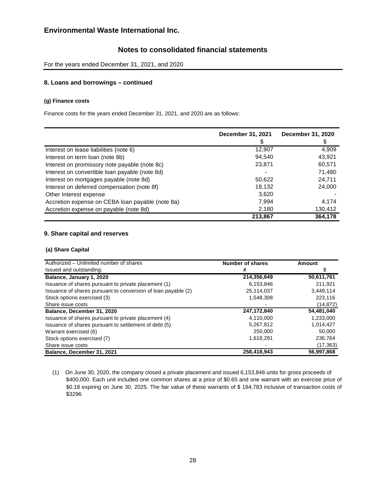# **Notes to consolidated financial statements**

For the years ended December 31, 2021, and 2020

### **8. Loans and borrowings – continued**

#### **(g) Finance costs**

Finance costs for the years ended December 31, 2021, and 2020 are as follows:

|                                                  | December 31, 2021 | December 31, 2020 |
|--------------------------------------------------|-------------------|-------------------|
|                                                  |                   |                   |
| Interest on lease liabilities (note 6)           | 12,907            | 4,909             |
| Interest on term loan (note 8b)                  | 94,540            | 43,921            |
| Interest on promissory note payable (note 8c)    | 23,871            | 60,571            |
| Interest on convertible loan payable (note 8d)   |                   | 71,480            |
| Interest on mortgages payable (note 8d)          | 50,622            | 24,711            |
| Interest on deferred compensation (note 8f)      | 18.132            | 24,000            |
| Other Interest expense                           | 3,620             |                   |
| Accretion expense on CEBA loan payable (note 8a) | 7,994             | 4,174             |
| Accretion expense on payable (note 8d)           | 2,180             | 130,412           |
|                                                  | 213,867           | 364.178           |

#### **9. Share capital and reserves**

#### **(a) Share Capital**

| Authorized – Unlimited number of shares                       | Number of shares | Amount     |
|---------------------------------------------------------------|------------------|------------|
| Issued and outstanding:                                       | #                |            |
| Balance, January 1, 2020                                      | 214,356,649      | 50,611,761 |
| Issuance of shares pursuant to private placement (1)          | 6,153,846        | 211,921    |
| Issuance of shares pursuant to conversion of loan payable (2) | 25,114,037       | 3,449,114  |
| Stock options exercised (3)                                   | 1,548,308        | 223.116    |
| Share issue costs                                             |                  | (14,872)   |
| Balance, December 31, 2020                                    | 247,172,840      | 54,481,040 |
| Issuance of shares pursuant to private placement (4)          | 4,110,000        | 1,233,000  |
| Issuance of shares pursuant to settlement of debt (5)         | 5,267,812        | 1,014,427  |
| Warrant exercised (6)                                         | 250,000          | 50,000     |
| Stock options exercised (7)                                   | 1,618,291        | 236,764    |
| Share issue costs                                             |                  | (17,363)   |
| Balance, December 31, 2021                                    | 258,418,943      | 56,997,868 |

(1) On June 30, 2020, the company closed a private placement and issued 6,153,846 units for gross proceeds of \$400,000. Each unit included one common shares at a price of \$0.65 and one warrant with an exercise price of \$0.18 expiring on June 30, 2025. The fair value of these warrants of \$ 184,783 inclusive of transaction costs of \$3296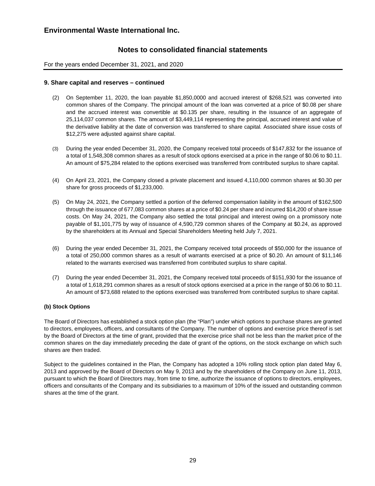# **Notes to consolidated financial statements**

### For the years ended December 31, 2021, and 2020

#### **9. Share capital and reserves – continued**

- (2) On September 11, 2020, the loan payable \$1,850,0000 and accrued interest of \$268,521 was converted into common shares of the Company. The principal amount of the loan was converted at a price of \$0.08 per share and the accrued interest was convertible at \$0.135 per share, resulting in the issuance of an aggregate of 25,114,037 common shares*.* The amount of \$3,449,114 representing the principal, accrued interest and value of the derivative liability at the date of conversion was transferred to share capital*.* Associated share issue costs of \$12,275 were adjusted against share capital.
- (3) During the year ended December 31, 2020, the Company received total proceeds of \$147,832 for the issuance of a total of 1,548,308 common shares as a result of stock options exercised at a price in the range of \$0.06 to \$0.11. An amount of \$75,284 related to the options exercised was transferred from contributed surplus to share capital.
- (4) On April 23, 2021, the Company closed a private placement and issued 4,110,000 common shares at \$0.30 per share for gross proceeds of \$1,233,000.
- (5) On May 24, 2021, the Company settled a portion of the deferred compensation liability in the amount of \$162,500 through the issuance of 677,083 common shares at a price of \$0.24 per share and incurred \$14,200 of share issue costs. On May 24, 2021, the Company also settled the total principal and interest owing on a promissory note payable of \$1,101,775 by way of issuance of 4,590,729 common shares of the Company at \$0.24, as approved by the shareholders at its Annual and Special Shareholders Meeting held July 7, 2021.
- (6) During the year ended December 31, 2021, the Company received total proceeds of \$50,000 for the issuance of a total of 250,000 common shares as a result of warrants exercised at a price of \$0.20. An amount of \$11,146 related to the warrants exercised was transferred from contributed surplus to share capital.
- (7) During the year ended December 31, 2021, the Company received total proceeds of \$151,930 for the issuance of a total of 1,618,291 common shares as a result of stock options exercised at a price in the range of \$0.06 to \$0.11. An amount of \$73,688 related to the options exercised was transferred from contributed surplus to share capital.

#### **(b) Stock Options**

The Board of Directors has established a stock option plan (the "Plan") under which options to purchase shares are granted to directors, employees, officers, and consultants of the Company. The number of options and exercise price thereof is set by the Board of Directors at the time of grant, provided that the exercise price shall not be less than the market price of the common shares on the day immediately preceding the date of grant of the options, on the stock exchange on which such shares are then traded.

Subject to the guidelines contained in the Plan, the Company has adopted a 10% rolling stock option plan dated May 6, 2013 and approved by the Board of Directors on May 9, 2013 and by the shareholders of the Company on June 11, 2013, pursuant to which the Board of Directors may, from time to time, authorize the issuance of options to directors, employees, officers and consultants of the Company and its subsidiaries to a maximum of 10% of the issued and outstanding common shares at the time of the grant.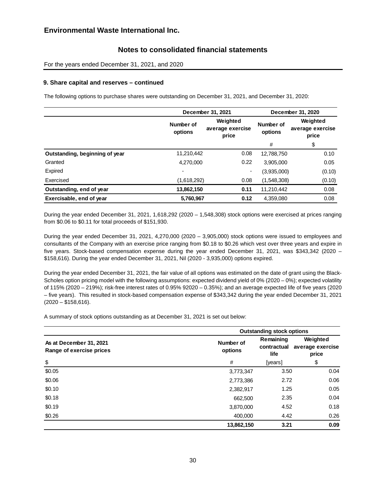# **Notes to consolidated financial statements**

For the years ended December 31, 2021, and 2020

#### **9. Share capital and reserves – continued**

The following options to purchase shares were outstanding on December 31, 2021, and December 31, 2020:

|                                |                      | December 31, 2021                     |                      | December 31, 2020                     |
|--------------------------------|----------------------|---------------------------------------|----------------------|---------------------------------------|
|                                | Number of<br>options | Weighted<br>average exercise<br>price | Number of<br>options | Weighted<br>average exercise<br>price |
|                                |                      |                                       | #                    | \$                                    |
| Outstanding, beginning of year | 11,210,442           | 0.08                                  | 12,788,750           | 0.10                                  |
| Granted                        | 4,270,000            | 0.22                                  | 3,905,000            | 0.05                                  |
| Expired                        | $\blacksquare$       | $\overline{\phantom{a}}$              | (3,935,000)          | (0.10)                                |
| Exercised                      | (1,618,292)          | 0.08                                  | (1,548,308)          | (0.10)                                |
| Outstanding, end of year       | 13,862,150           | 0.11                                  | 11,210,442           | 0.08                                  |
| Exercisable, end of year       | 5,760,967            | 0.12                                  | 4,359,080            | 0.08                                  |

During the year ended December 31, 2021, 1,618,292 (2020 – 1,548,308) stock options were exercised at prices ranging from \$0.06 to \$0.11 for total proceeds of \$151,930.

During the year ended December 31, 2021, 4,270,000 (2020 – 3,905,000) stock options were issued to employees and consultants of the Company with an exercise price ranging from \$0.18 to \$0.26 which vest over three years and expire in five years. Stock-based compensation expense during the year ended December 31, 2021, was \$343,342 (2020 – \$158,616). During the year ended December 31, 2021, Nil (2020 - 3,935,000) options expired.

During the year ended December 31, 2021, the fair value of all options was estimated on the date of grant using the Black-Scholes option pricing model with the following assumptions: expected dividend yield of 0% (2020 – 0%); expected volatility of 115% (2020 – 219%); risk-free interest rates of 0.95% 92020 – 0.35%); and an average expected life of five years (2020 – five years). This resulted in stock-based compensation expense of \$343,342 during the year ended December 31, 2021  $(2020 - $158,616)$ .

A summary of stock options outstanding as at December 31, 2021 is set out below:

|                                                     |                      | <b>Outstanding stock options</b> |                                       |  |  |
|-----------------------------------------------------|----------------------|----------------------------------|---------------------------------------|--|--|
| As at December 31, 2021<br>Range of exercise prices | Number of<br>options | Remaining<br>contractual<br>life | Weighted<br>average exercise<br>price |  |  |
| \$                                                  | #                    | [years]                          | \$                                    |  |  |
| \$0.05                                              | 3,773,347            | 3.50                             | 0.04                                  |  |  |
| \$0.06                                              | 2,773,386            | 2.72                             | 0.06                                  |  |  |
| \$0.10                                              | 2,382,917            | 1.25                             | 0.05                                  |  |  |
| \$0.18                                              | 662,500              | 2.35                             | 0.04                                  |  |  |
| \$0.19                                              | 3,870,000            | 4.52                             | 0.18                                  |  |  |
| \$0.26                                              | 400,000              | 4.42                             | 0.26                                  |  |  |
|                                                     | 13,862,150           | 3.21                             | 0.09                                  |  |  |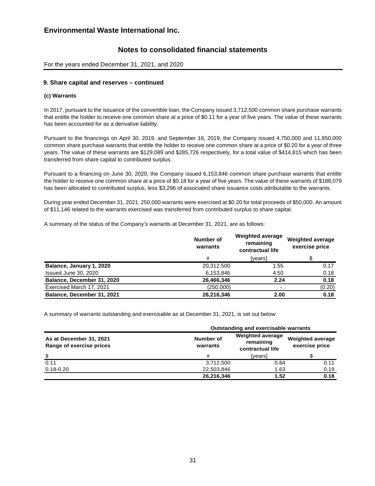# **Notes to consolidated financial statements**

For the years ended December 31, 2021, and 2020

### **9. Share capital and reserves – continued**

#### **(c) Warrants**

In 2017, pursuant to the issuance of the convertible loan, the Company issued 3,712,500 common share purchase warrants that entitle the holder to receive one common share at a price of \$0.11 for a year of five years. The value of these warrants has been accounted for as a derivative liability.

Pursuant to the financings on April 30, 2019, and September 16, 2019, the Company issued 4,750,000 and 11,850,000 common share purchase warrants that entitle the holder to receive one common share at a price of \$0.20 for a year of three years. The value of these warrants are \$129,089 and \$285,726 respectively, for a total value of \$414,815 which has been transferred from share capital to contributed surplus.

Pursuant to a financing on June 30, 2020, the Company issued 6,153,846 common share purchase warrants that entitle the holder to receive one common share at a price of \$0.18 for a year of five years. The value of these warrants of \$188,079 has been allocated to contributed surplus, less \$3,296 of associated share issuance costs attributable to the warrants.

During year ended December 31, 2021, 250,000 warrants were exercised at \$0.20 for total proceeds of \$50,000. An amount of \$11,146 related to the warrants exercised was transferred from contributed surplus to share capital.

A summary of the status of the Company's warrants at December 31, 2021, are as follows:

|                            | Number of<br>warrants | <b>Weighted average</b><br>remaining<br>contractual life | <b>Weighted average</b><br>exercise price |
|----------------------------|-----------------------|----------------------------------------------------------|-------------------------------------------|
|                            | #                     | [years]                                                  | \$                                        |
| Balance, January 1, 2020   | 20,312,500            | 1.55                                                     | 0.17                                      |
| Issued June 30, 2020       | 6,153,846             | 4.50                                                     | 0.18                                      |
| Balance, December 31, 2020 | 26,466,346            | 2.24                                                     | 0.18                                      |
| Exercised March 17, 2021   | (250,000)             | $\blacksquare$                                           | (0.20)                                    |
| Balance, December 31, 2021 | 26,216,346            | 2.00                                                     | 0.18                                      |

A summary of warrants outstanding and exercisable as at December 31, 2021, is set out below:

|                                                     | Outstanding and exercisable warrants |                                                          |                                           |  |
|-----------------------------------------------------|--------------------------------------|----------------------------------------------------------|-------------------------------------------|--|
| As at December 31, 2021<br>Range of exercise prices | Number of<br>warrants                | <b>Weighted average</b><br>remaining<br>contractual life | <b>Weighted average</b><br>exercise price |  |
| \$                                                  | #                                    | [years]                                                  |                                           |  |
| 0.11                                                | 3,712,500                            | 0.84                                                     | 0.11                                      |  |
| $0.18 - 0.20$                                       | 22,503,846                           | 1.63                                                     | 0.19                                      |  |
|                                                     | 26,216,346                           | 1.52                                                     | 0.18                                      |  |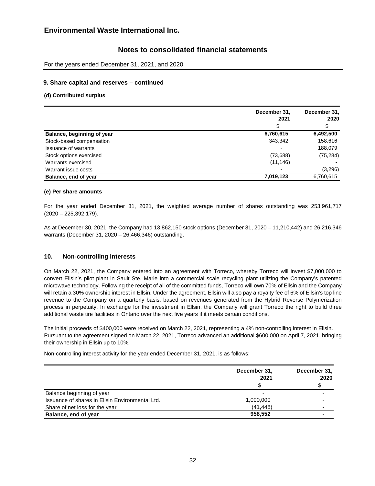## **Notes to consolidated financial statements**

For the years ended December 31, 2021, and 2020

### **9. Share capital and reserves – continued**

**(d) Contributed surplus** 

|                            | December 31,<br>2021<br>S | December 31,<br>2020<br>\$ |
|----------------------------|---------------------------|----------------------------|
| Balance, beginning of year | 6,760,615                 | 6,492,500                  |
| Stock-based compensation   | 343,342                   | 158,616                    |
| Issuance of warrants       |                           | 188,079                    |
| Stock options exercised    | (73, 688)                 | (75, 284)                  |
| Warrants exercised         | (11, 146)                 |                            |
| Warrant issue costs        |                           | (3,296)                    |
| Balance, end of year       | 7,019,123                 | 6,760,615                  |

#### **(e) Per share amounts**

For the year ended December 31, 2021, the weighted average number of shares outstanding was 253,961,717 (2020 – 225,392,179).

As at December 30, 2021, the Company had 13,862,150 stock options (December 31, 2020 – 11,210,442) and 26,216,346 warrants (December 31, 2020 – 26,466,346) outstanding.

#### **10. Non-controlling interests**

On March 22, 2021, the Company entered into an agreement with Torreco, whereby Torreco will invest \$7,000,000 to convert Ellsin's pilot plant in Sault Ste. Marie into a commercial scale recycling plant utilizing the Company's patented microwave technology. Following the receipt of all of the committed funds, Torreco will own 70% of Ellsin and the Company will retain a 30% ownership interest in Ellsin. Under the agreement, Ellsin will also pay a royalty fee of 6% of Ellsin's top line revenue to the Company on a quarterly basis, based on revenues generated from the Hybrid Reverse Polymerization process in perpetuity. In exchange for the investment in Ellsin, the Company will grant Torreco the right to build three additional waste tire facilities in Ontario over the next five years if it meets certain conditions.

The initial proceeds of \$400,000 were received on March 22, 2021, representing a 4% non-controlling interest in Ellsin. Pursuant to the agreement signed on March 22, 2021, Torreco advanced an additional \$600,000 on April 7, 2021, bringing their ownership in Ellsin up to 10%*.* 

Non-controlling interest activity for the year ended December 31, 2021, is as follows:

|                                                 | December 31,<br>2021 | December 31,<br>2020 |
|-------------------------------------------------|----------------------|----------------------|
| Balance beginning of year                       | $\blacksquare$       |                      |
| Issuance of shares in Ellsin Environmental Ltd. | 1,000,000            |                      |
| Share of net loss for the year                  | (41, 448)            |                      |
| Balance, end of year                            | 958,552              |                      |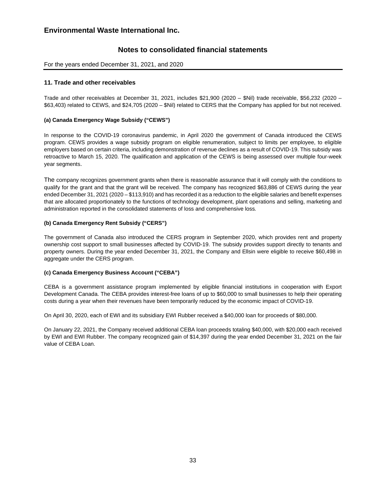# **Notes to consolidated financial statements**

For the years ended December 31, 2021, and 2020

### **11. Trade and other receivables**

Trade and other receivables at December 31, 2021, includes \$21,900 (2020 – \$Nil) trade receivable, \$56,232 (2020 – \$63,403) related to CEWS, and \$24,705 (2020 – \$Nil) related to CERS that the Company has applied for but not received.

### **(a) Canada Emergency Wage Subsidy ("CEWS")**

In response to the COVID-19 coronavirus pandemic, in April 2020 the government of Canada introduced the CEWS program. CEWS provides a wage subsidy program on eligible renumeration, subject to limits per employee, to eligible employers based on certain criteria, including demonstration of revenue declines as a result of COVID-19. This subsidy was retroactive to March 15, 2020. The qualification and application of the CEWS is being assessed over multiple four-week year segments.

The company recognizes government grants when there is reasonable assurance that it will comply with the conditions to qualify for the grant and that the grant will be received. The company has recognized \$63,886 of CEWS during the year ended December 31, 2021 (2020 – \$113,910) and has recorded it as a reduction to the eligible salaries and benefit expenses that are allocated proportionately to the functions of technology development, plant operations and selling, marketing and administration reported in the consolidated statements of loss and comprehensive loss*.*

#### **(b) Canada Emergency Rent Subsidy ("CERS")**

The government of Canada also introduced the CERS program in September 2020, which provides rent and property ownership cost support to small businesses affected by COVID-19. The subsidy provides support directly to tenants and property owners. During the year ended December 31, 2021, the Company and Ellsin were eligible to receive \$60,498 in aggregate under the CERS program.

#### **(c) Canada Emergency Business Account ("CEBA")**

CEBA is a government assistance program implemented by eligible financial institutions in cooperation with Export Development Canada. The CEBA provides interest-free loans of up to \$60,000 to small businesses to help their operating costs during a year when their revenues have been temporarily reduced by the economic impact of COVID-19.

On April 30, 2020, each of EWI and its subsidiary EWI Rubber received a \$40,000 loan for proceeds of \$80,000.

On January 22, 2021, the Company received additional CEBA loan proceeds totaling \$40,000, with \$20,000 each received by EWI and EWI Rubber. The company recognized gain of \$14,397 during the year ended December 31, 2021 on the fair value of CEBA Loan.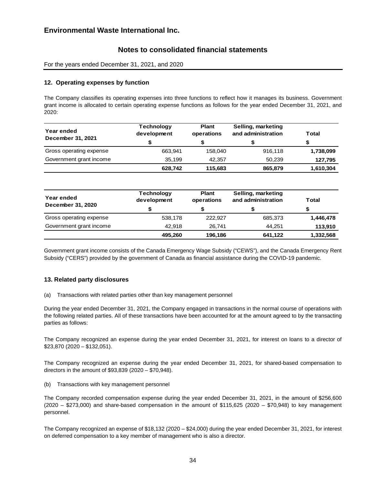# **Notes to consolidated financial statements**

For the years ended December 31, 2021, and 2020

### **12. Operating expenses by function**

The Company classifies its operating expenses into three functions to reflect how it manages its business. Government grant income is allocated to certain operating expense functions as follows for the year ended December 31, 2021, and 2020:

| Year ended<br>December 31, 2021 | Technology<br>development | <b>Plant</b><br>operations | Selling, marketing<br>and administration | Total     |
|---------------------------------|---------------------------|----------------------------|------------------------------------------|-----------|
| Gross operating expense         | 663.941                   | 158.040                    | 916,118                                  | 1,738,099 |
| Government grant income         | 35.199                    | 42.357                     | 50.239                                   | 127,795   |
|                                 | 628,742                   | 115,683                    | 865,879                                  | 1,610,304 |

| Year ended<br>December 31, 2020 | Technology<br>development | <b>Plant</b><br>operations | Selling, marketing<br>and administration | Total     |
|---------------------------------|---------------------------|----------------------------|------------------------------------------|-----------|
| Gross operating expense         | 538,178                   | 222.927                    | 685,373                                  | 1,446,478 |
| Government grant income         | 42.918                    | 26.741                     | 44.251                                   | 113,910   |
|                                 | 495,260                   | 196,186                    | 641,122                                  | 1,332,568 |

Government grant income consists of the Canada Emergency Wage Subsidy ("CEWS"), and the Canada Emergency Rent Subsidy ("CERS") provided by the government of Canada as financial assistance during the COVID-19 pandemic.

### **13. Related party disclosures**

(a) Transactions with related parties other than key management personnel

During the year ended December 31, 2021, the Company engaged in transactions in the normal course of operations with the following related parties. All of these transactions have been accounted for at the amount agreed to by the transacting parties as follows:

The Company recognized an expense during the year ended December 31, 2021, for interest on loans to a director of \$23,870 (2020 – \$132,051).

The Company recognized an expense during the year ended December 31, 2021, for shared-based compensation to directors in the amount of \$93,839 (2020 – \$70,948).

(b) Transactions with key management personnel

The Company recorded compensation expense during the year ended December 31, 2021, in the amount of \$256,600  $(2020 - $273,000)$  and share-based compensation in the amount of \$115,625 (2020 – \$70,948) to key management personnel.

The Company recognized an expense of \$18,132 (2020 – \$24,000) during the year ended December 31, 2021, for interest on deferred compensation to a key member of management who is also a director.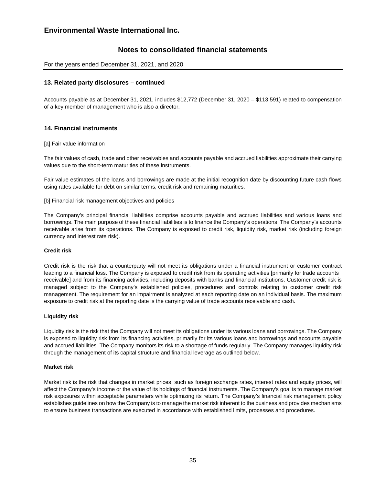# **Notes to consolidated financial statements**

For the years ended December 31, 2021, and 2020

### **13. Related party disclosures – continued**

Accounts payable as at December 31, 2021, includes \$12,772 (December 31, 2020 – \$113,591) related to compensation of a key member of management who is also a director.

### **14. Financial instruments**

#### [a] Fair value information

The fair values of cash, trade and other receivables and accounts payable and accrued liabilities approximate their carrying values due to the short-term maturities of these instruments.

Fair value estimates of the loans and borrowings are made at the initial recognition date by discounting future cash flows using rates available for debt on similar terms, credit risk and remaining maturities.

[b] Financial risk management objectives and policies

The Company's principal financial liabilities comprise accounts payable and accrued liabilities and various loans and borrowings. The main purpose of these financial liabilities is to finance the Company's operations. The Company's accounts receivable arise from its operations. The Company is exposed to credit risk, liquidity risk, market risk (including foreign currency and interest rate risk).

#### **Credit risk**

Credit risk is the risk that a counterparty will not meet its obligations under a financial instrument or customer contract leading to a financial loss. The Company is exposed to credit risk from its operating activities [primarily for trade accounts receivable] and from its financing activities, including deposits with banks and financial institutions. Customer credit risk is managed subject to the Company's established policies, procedures and controls relating to customer credit risk management. The requirement for an impairment is analyzed at each reporting date on an individual basis. The maximum exposure to credit risk at the reporting date is the carrying value of trade accounts receivable and cash.

#### **Liquidity risk**

Liquidity risk is the risk that the Company will not meet its obligations under its various loans and borrowings. The Company is exposed to liquidity risk from its financing activities, primarily for its various loans and borrowings and accounts payable and accrued liabilities. The Company monitors its risk to a shortage of funds regularly. The Company manages liquidity risk through the management of its capital structure and financial leverage as outlined below.

#### **Market risk**

Market risk is the risk that changes in market prices, such as foreign exchange rates, interest rates and equity prices, will affect the Company's income or the value of its holdings of financial instruments. The Company's goal is to manage market risk exposures within acceptable parameters while optimizing its return. The Company's financial risk management policy establishes guidelines on how the Company is to manage the market risk inherent to the business and provides mechanisms to ensure business transactions are executed in accordance with established limits, processes and procedures.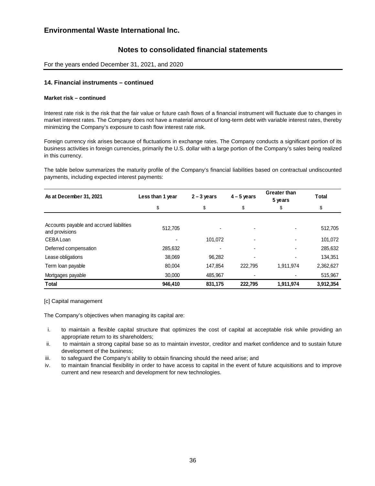# **Notes to consolidated financial statements**

### For the years ended December 31, 2021, and 2020

#### **14. Financial instruments – continued**

### **Market risk – continued**

Interest rate risk is the risk that the fair value or future cash flows of a financial instrument will fluctuate due to changes in market interest rates. The Company does not have a material amount of long-term debt with variable interest rates, thereby minimizing the Company's exposure to cash flow interest rate risk.

Foreign currency risk arises because of fluctuations in exchange rates. The Company conducts a significant portion of its business activities in foreign currencies, primarily the U.S. dollar with a large portion of the Company's sales being realized in this currency.

The table below summarizes the maturity profile of the Company's financial liabilities based on contractual undiscounted payments, including expected interest payments:

| As at December 31, 2021                                    | Less than 1 year | $2 - 3$ years | $4 - 5$ years | <b>Greater than</b><br>5 years | Total     |
|------------------------------------------------------------|------------------|---------------|---------------|--------------------------------|-----------|
|                                                            | \$               | \$            | \$            | \$                             | \$        |
| Accounts payable and accrued liabilities<br>and provisions | 512,705          | ٠             |               |                                | 512,705   |
| CEBA Loan                                                  |                  | 101.072       |               |                                | 101,072   |
| Deferred compensation                                      | 285,632          |               |               |                                | 285,632   |
| Lease obligations                                          | 38,069           | 96,282        |               |                                | 134,351   |
| Term loan payable                                          | 80,004           | 147,854       | 222.795       | 1,911,974                      | 2,362,627 |
| Mortgages payable                                          | 30,000           | 485,967       |               |                                | 515,967   |
| <b>Total</b>                                               | 946,410          | 831,175       | 222.795       | 1,911,974                      | 3,912,354 |

[c] Capital management

The Company's objectives when managing its capital are:

- i. to maintain a flexible capital structure that optimizes the cost of capital at acceptable risk while providing an appropriate return to its shareholders;
- ii. to maintain a strong capital base so as to maintain investor, creditor and market confidence and to sustain future development of the business;
- iii. to safeguard the Company's ability to obtain financing should the need arise; and
- iv. to maintain financial flexibility in order to have access to capital in the event of future acquisitions and to improve current and new research and development for new technologies.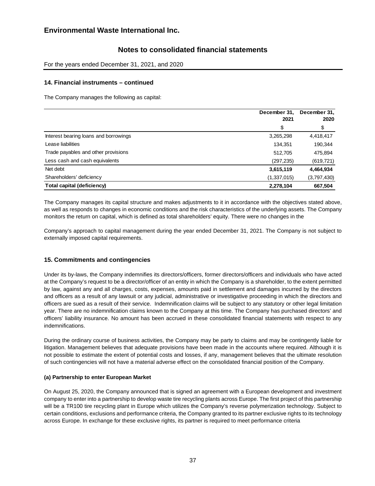# **Notes to consolidated financial statements**

For the years ended December 31, 2021, and 2020

#### **14. Financial instruments – continued**

The Company manages the following as capital:

|                                       | December 31,<br>2021 | December 31,<br>2020 |
|---------------------------------------|----------------------|----------------------|
|                                       | \$                   | \$                   |
| Interest bearing loans and borrowings | 3,265,298            | 4,418,417            |
| Lease liabilities                     | 134,351              | 190,344              |
| Trade payables and other provisions   | 512.705              | 475,894              |
| Less cash and cash equivalents        | (297,235)            | (619, 721)           |
| Net debt                              | 3,615,119            | 4,464,934            |
| Shareholders' deficiency              | (1,337,015)          | (3,797,430)          |
| Total capital (deficiency)            | 2,278,104            | 667,504              |

The Company manages its capital structure and makes adjustments to it in accordance with the objectives stated above, as well as responds to changes in economic conditions and the risk characteristics of the underlying assets. The Company monitors the return on capital, which is defined as total shareholders' equity. There were no changes in the

Company's approach to capital management during the year ended December 31, 2021. The Company is not subject to externally imposed capital requirements.

### **15. Commitments and contingencies**

Under its by-laws, the Company indemnifies its directors/officers, former directors/officers and individuals who have acted at the Company's request to be a director/officer of an entity in which the Company is a shareholder, to the extent permitted by law, against any and all charges, costs, expenses, amounts paid in settlement and damages incurred by the directors and officers as a result of any lawsuit or any judicial, administrative or investigative proceeding in which the directors and officers are sued as a result of their service. Indemnification claims will be subject to any statutory or other legal limitation year. There are no indemnification claims known to the Company at this time. The Company has purchased directors' and officers' liability insurance. No amount has been accrued in these consolidated financial statements with respect to any indemnifications.

During the ordinary course of business activities, the Company may be party to claims and may be contingently liable for litigation. Management believes that adequate provisions have been made in the accounts where required. Although it is not possible to estimate the extent of potential costs and losses, if any, management believes that the ultimate resolution of such contingencies will not have a material adverse effect on the consolidated financial position of the Company.

#### **(a) Partnership to enter European Market**

On August 25, 2020, the Company announced that is signed an agreement with a European development and investment company to enter into a partnership to develop waste tire recycling plants across Europe. The first project of this partnership will be a TR100 tire recycling plant in Europe which utilizes the Company's reverse polymerization technology. Subject to certain conditions, exclusions and performance criteria, the Company granted to its partner exclusive rights to its technology across Europe. In exchange for these exclusive rights, its partner is required to meet performance criteria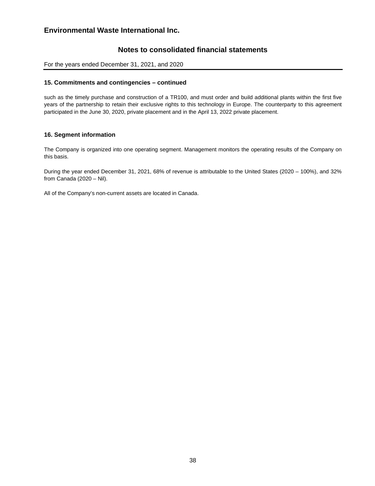# **Notes to consolidated financial statements**

For the years ended December 31, 2021, and 2020

### **15. Commitments and contingencies – continued**

such as the timely purchase and construction of a TR100, and must order and build additional plants within the first five years of the partnership to retain their exclusive rights to this technology in Europe. The counterparty to this agreement participated in the June 30, 2020, private placement and in the April 13, 2022 private placement.

### **16. Segment information**

The Company is organized into one operating segment. Management monitors the operating results of the Company on this basis.

During the year ended December 31, 2021, 68% of revenue is attributable to the United States (2020 – 100%), and 32% from Canada (2020 – Nil).

All of the Company's non-current assets are located in Canada.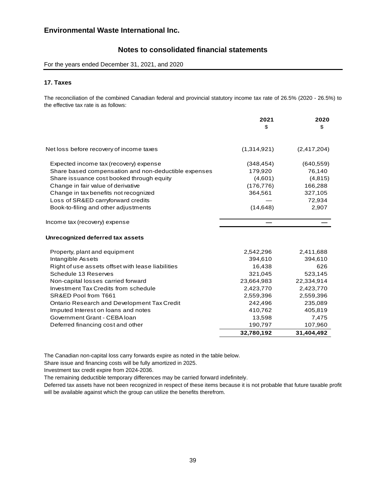# **Notes to consolidated financial statements**

### For the years ended December 31, 2021, and 2020

### **17. Taxes**

The reconciliation of the combined Canadian federal and provincial statutory income tax rate of 26.5% (2020 - 26.5%) to the effective tax rate is as follows:

|                                                      | 2021        | 2020        |
|------------------------------------------------------|-------------|-------------|
|                                                      | \$          | \$          |
| Net loss before recovery of income taxes             | (1,314,921) | (2,417,204) |
| Expected income tax (recovery) expense               | (348, 454)  | (640, 559)  |
| Share based compensation and non-deductible expenses | 179,920     | 76,140      |
| Share issuance cost booked through equity            | (4,601)     | (4, 815)    |
| Change in fair value of derivative                   | (176, 776)  | 166,288     |
| Change in tax benefits not recognized                | 364,561     | 327,105     |
| Loss of SR&ED carryforward credits                   |             | 72,934      |
| Book-to-filing and other adjustments                 | (14, 648)   | 2,907       |
| Income tax (recovery) expense                        |             |             |
| Unrecognized deferred tax assets                     |             |             |
| Property, plant and equipment                        | 2,542,296   | 2,411,688   |
| Intangible Assets                                    | 394,610     | 394,610     |
| Right of use assets offset with lease liabilities    | 16,438      | 626         |
| Schedule 13 Reserves                                 | 321,045     | 523,145     |
| Non-capital losses carried forward                   | 23,664,983  | 22,334,914  |
| Investment Tax Credits from schedule                 | 2,423,770   | 2,423,770   |
| SR&ED Pool from T661                                 | 2,559,396   | 2,559,396   |
| Ontario Research and Development Tax Credit          | 242,496     | 235,089     |
| Imputed Interest on loans and notes                  | 410,762     | 405,819     |
| Government Grant - CEBA loan                         | 13,598      | 7,475       |
| Deferred financing cost and other                    | 190,797     | 107,960     |
|                                                      | 32,780,192  | 31,404,492  |

The Canadian non-capital loss carry forwards expire as noted in the table below.

Share issue and financing costs will be fully amortized in 2025.

Investment tax credit expire from 2024-2036.

The remaining deductible temporary differences may be carried forward indefinitely.

Deferred tax assets have not been recognized in respect of these items because it is not probable that future taxable profit will be available against which the group can utilize the benefits therefrom.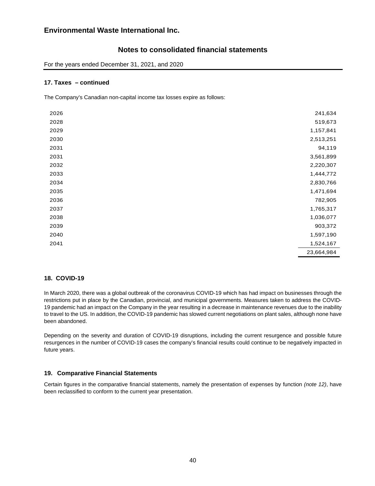# **Notes to consolidated financial statements**

For the years ended December 31, 2021, and 2020

#### **17. Taxes – continued**

The Company's Canadian non-capital income tax losses expire as follows:

| 2026 | 241,634    |
|------|------------|
| 2028 | 519,673    |
| 2029 | 1,157,841  |
| 2030 | 2,513,251  |
| 2031 | 94,119     |
| 2031 | 3,561,899  |
| 2032 | 2,220,307  |
| 2033 | 1,444,772  |
| 2034 | 2,830,766  |
| 2035 | 1,471,694  |
| 2036 | 782,905    |
| 2037 | 1,765,317  |
| 2038 | 1,036,077  |
| 2039 | 903,372    |
| 2040 | 1,597,190  |
| 2041 | 1,524,167  |
|      | 23,664,984 |

### **18. COVID-19**

In March 2020, there was a global outbreak of the coronavirus COVID-19 which has had impact on businesses through the restrictions put in place by the Canadian, provincial, and municipal governments. Measures taken to address the COVID-19 pandemic had an impact on the Company in the year resulting in a decrease in maintenance revenues due to the inability to travel to the US. In addition, the COVID-19 pandemic has slowed current negotiations on plant sales, although none have been abandoned.

Depending on the severity and duration of COVID-19 disruptions, including the current resurgence and possible future resurgences in the number of COVID-19 cases the company's financial results could continue to be negatively impacted in future years.

#### **19. Comparative Financial Statements**

Certain figures in the comparative financial statements, namely the presentation of expenses by function *(note 12)*, have been reclassified to conform to the current year presentation.